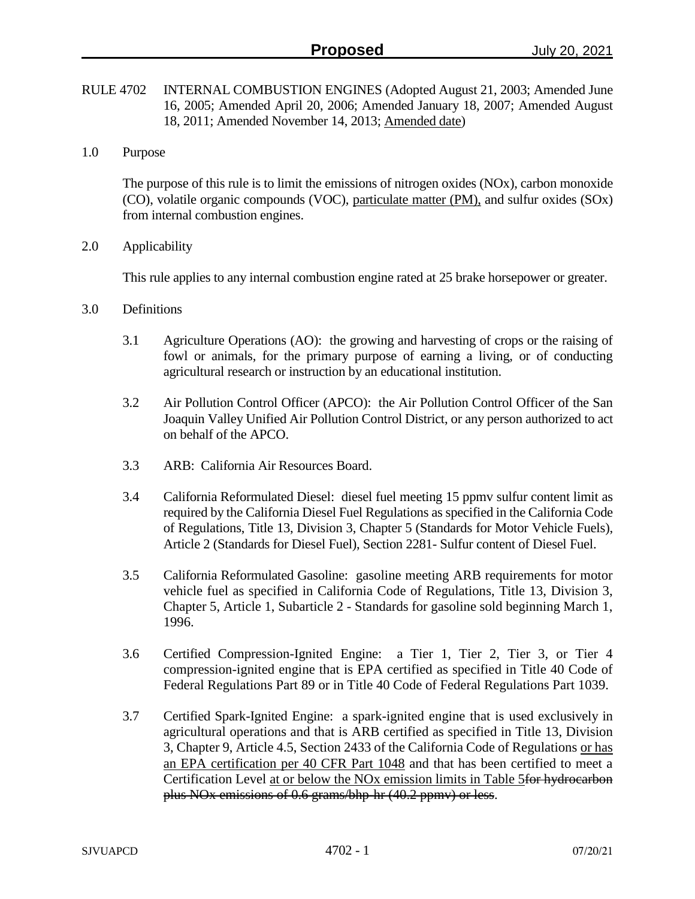- RULE 4702 INTERNAL COMBUSTION ENGINES (Adopted August 21, 2003; Amended June 16, 2005; Amended April 20, 2006; Amended January 18, 2007; Amended August 18, 2011; Amended November 14, 2013; Amended date)
- 1.0 Purpose

The purpose of this rule is to limit the emissions of nitrogen oxides (NOx), carbon monoxide (CO), volatile organic compounds (VOC), particulate matter (PM), and sulfur oxides (SOx) from internal combustion engines.

2.0 Applicability

This rule applies to any internal combustion engine rated at 25 brake horsepower or greater.

- 3.0 Definitions
	- 3.1 Agriculture Operations (AO): the growing and harvesting of crops or the raising of fowl or animals, for the primary purpose of earning a living, or of conducting agricultural research or instruction by an educational institution.
	- 3.2 Air Pollution Control Officer (APCO): the Air Pollution Control Officer of the San Joaquin Valley Unified Air Pollution Control District, or any person authorized to act on behalf of the APCO.
	- 3.3 ARB: California Air Resources Board.
	- 3.4 California Reformulated Diesel: diesel fuel meeting 15 ppmv sulfur content limit as required by the California Diesel Fuel Regulations as specified in the California Code of Regulations, Title 13, Division 3, Chapter 5 (Standards for Motor Vehicle Fuels), Article 2 (Standards for Diesel Fuel), Section 2281- Sulfur content of Diesel Fuel.
	- 3.5 California Reformulated Gasoline: gasoline meeting ARB requirements for motor vehicle fuel as specified in California Code of Regulations, Title 13, Division 3, Chapter 5, Article 1, Subarticle 2 - Standards for gasoline sold beginning March 1, 1996.
	- 3.6 Certified Compression-Ignited Engine: a Tier 1, Tier 2, Tier 3, or Tier 4 compression-ignited engine that is EPA certified as specified in Title 40 Code of Federal Regulations Part 89 or in Title 40 Code of Federal Regulations Part 1039.
	- 3.7 Certified Spark-Ignited Engine: a spark-ignited engine that is used exclusively in agricultural operations and that is ARB certified as specified in Title 13, Division 3, Chapter 9, Article 4.5, Section 2433 of the California Code of Regulations or has an EPA certification per 40 CFR Part 1048 and that has been certified to meet a Certification Level at or below the NOx emission limits in Table 5for hydrocarbon plus NOx emissions of 0.6 grams/bhp-hr (40.2 ppmv) or less.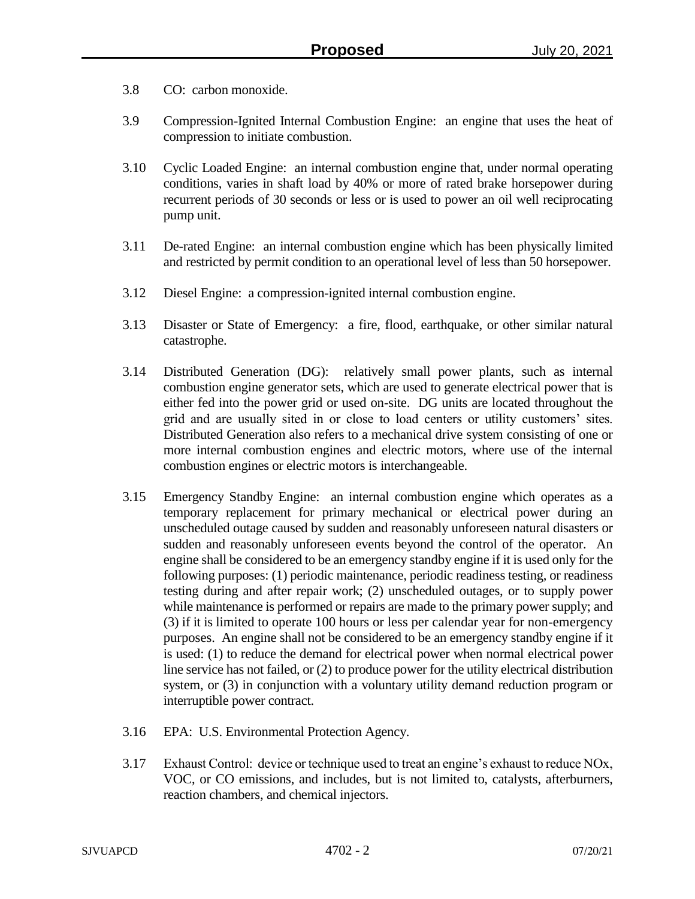- 3.8 CO: carbon monoxide.
- 3.9 Compression-Ignited Internal Combustion Engine: an engine that uses the heat of compression to initiate combustion.
- 3.10 Cyclic Loaded Engine: an internal combustion engine that, under normal operating conditions, varies in shaft load by 40% or more of rated brake horsepower during recurrent periods of 30 seconds or less or is used to power an oil well reciprocating pump unit.
- 3.11 De-rated Engine: an internal combustion engine which has been physically limited and restricted by permit condition to an operational level of less than 50 horsepower.
- 3.12 Diesel Engine: a compression-ignited internal combustion engine.
- 3.13 Disaster or State of Emergency: a fire, flood, earthquake, or other similar natural catastrophe.
- 3.14 Distributed Generation (DG): relatively small power plants, such as internal combustion engine generator sets, which are used to generate electrical power that is either fed into the power grid or used on-site. DG units are located throughout the grid and are usually sited in or close to load centers or utility customers' sites. Distributed Generation also refers to a mechanical drive system consisting of one or more internal combustion engines and electric motors, where use of the internal combustion engines or electric motors is interchangeable.
- 3.15 Emergency Standby Engine: an internal combustion engine which operates as a temporary replacement for primary mechanical or electrical power during an unscheduled outage caused by sudden and reasonably unforeseen natural disasters or sudden and reasonably unforeseen events beyond the control of the operator. An engine shall be considered to be an emergency standby engine if it is used only for the following purposes: (1) periodic maintenance, periodic readiness testing, or readiness testing during and after repair work; (2) unscheduled outages, or to supply power while maintenance is performed or repairs are made to the primary power supply; and (3) if it is limited to operate 100 hours or less per calendar year for non-emergency purposes. An engine shall not be considered to be an emergency standby engine if it is used: (1) to reduce the demand for electrical power when normal electrical power line service has not failed, or (2) to produce power for the utility electrical distribution system, or (3) in conjunction with a voluntary utility demand reduction program or interruptible power contract.
- 3.16 EPA: U.S. Environmental Protection Agency.
- 3.17 Exhaust Control: device or technique used to treat an engine's exhaust to reduce NOx, VOC, or CO emissions, and includes, but is not limited to, catalysts, afterburners, reaction chambers, and chemical injectors.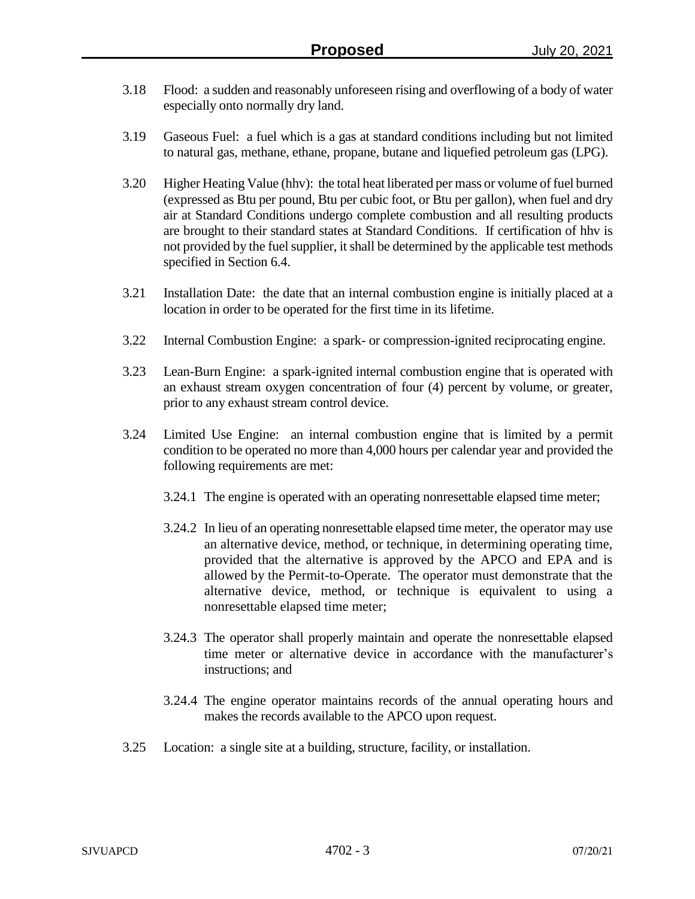- 3.18 Flood: a sudden and reasonably unforeseen rising and overflowing of a body of water especially onto normally dry land.
- 3.19 Gaseous Fuel: a fuel which is a gas at standard conditions including but not limited to natural gas, methane, ethane, propane, butane and liquefied petroleum gas (LPG).
- 3.20 Higher Heating Value (hhv): the total heat liberated per mass or volume of fuel burned (expressed as Btu per pound, Btu per cubic foot, or Btu per gallon), when fuel and dry air at Standard Conditions undergo complete combustion and all resulting products are brought to their standard states at Standard Conditions. If certification of hhv is not provided by the fuel supplier, it shall be determined by the applicable test methods specified in Section 6.4.
- 3.21 Installation Date: the date that an internal combustion engine is initially placed at a location in order to be operated for the first time in its lifetime.
- 3.22 Internal Combustion Engine: a spark- or compression-ignited reciprocating engine.
- 3.23 Lean-Burn Engine: a spark-ignited internal combustion engine that is operated with an exhaust stream oxygen concentration of four (4) percent by volume, or greater, prior to any exhaust stream control device.
- 3.24 Limited Use Engine: an internal combustion engine that is limited by a permit condition to be operated no more than 4,000 hours per calendar year and provided the following requirements are met:
	- 3.24.1 The engine is operated with an operating nonresettable elapsed time meter;
	- 3.24.2 In lieu of an operating nonresettable elapsed time meter, the operator may use an alternative device, method, or technique, in determining operating time, provided that the alternative is approved by the APCO and EPA and is allowed by the Permit-to-Operate. The operator must demonstrate that the alternative device, method, or technique is equivalent to using a nonresettable elapsed time meter;
	- 3.24.3 The operator shall properly maintain and operate the nonresettable elapsed time meter or alternative device in accordance with the manufacturer's instructions; and
	- 3.24.4 The engine operator maintains records of the annual operating hours and makes the records available to the APCO upon request.
- 3.25 Location: a single site at a building, structure, facility, or installation.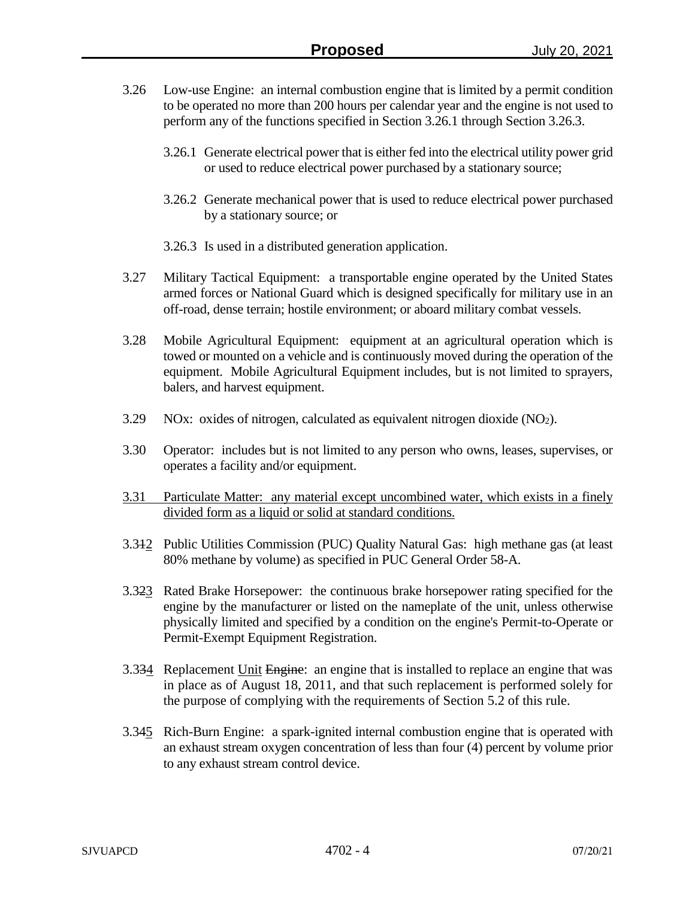- 3.26 Low-use Engine: an internal combustion engine that is limited by a permit condition to be operated no more than 200 hours per calendar year and the engine is not used to perform any of the functions specified in Section 3.26.1 through Section 3.26.3.
	- 3.26.1 Generate electrical power that is either fed into the electrical utility power grid or used to reduce electrical power purchased by a stationary source;
	- 3.26.2 Generate mechanical power that is used to reduce electrical power purchased by a stationary source; or
	- 3.26.3 Is used in a distributed generation application.
- 3.27 Military Tactical Equipment: a transportable engine operated by the United States armed forces or National Guard which is designed specifically for military use in an off-road, dense terrain; hostile environment; or aboard military combat vessels.
- 3.28 Mobile Agricultural Equipment: equipment at an agricultural operation which is towed or mounted on a vehicle and is continuously moved during the operation of the equipment. Mobile Agricultural Equipment includes, but is not limited to sprayers, balers, and harvest equipment.
- $3.29$  NOx: oxides of nitrogen, calculated as equivalent nitrogen dioxide (NO<sub>2</sub>).
- 3.30 Operator: includes but is not limited to any person who owns, leases, supervises, or operates a facility and/or equipment.
- 3.31 Particulate Matter: any material except uncombined water, which exists in a finely divided form as a liquid or solid at standard conditions.
- 3.312 Public Utilities Commission (PUC) Quality Natural Gas: high methane gas (at least 80% methane by volume) as specified in PUC General Order 58-A.
- 3.323 Rated Brake Horsepower: the continuous brake horsepower rating specified for the engine by the manufacturer or listed on the nameplate of the unit, unless otherwise physically limited and specified by a condition on the engine's Permit-to-Operate or Permit-Exempt Equipment Registration.
- 3.334 Replacement Unit Engine: an engine that is installed to replace an engine that was in place as of August 18, 2011, and that such replacement is performed solely for the purpose of complying with the requirements of Section 5.2 of this rule.
- 3.345 Rich-Burn Engine: a spark-ignited internal combustion engine that is operated with an exhaust stream oxygen concentration of less than four (4) percent by volume prior to any exhaust stream control device.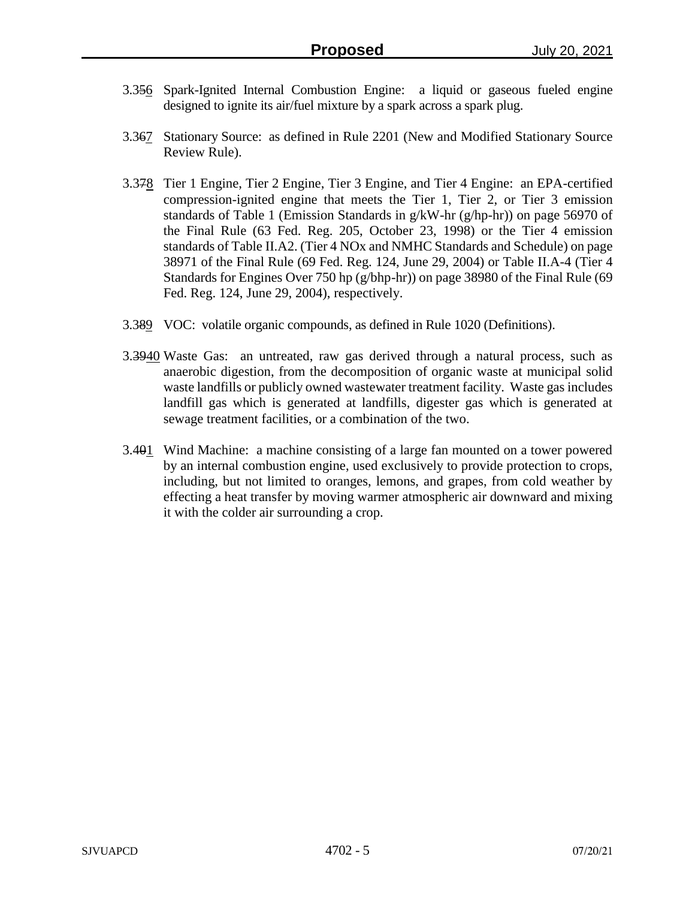- 3.356 Spark-Ignited Internal Combustion Engine: a liquid or gaseous fueled engine designed to ignite its air/fuel mixture by a spark across a spark plug.
- 3.367 Stationary Source: as defined in Rule 2201 (New and Modified Stationary Source Review Rule).
- 3.378 Tier 1 Engine, Tier 2 Engine, Tier 3 Engine, and Tier 4 Engine: an EPA-certified compression-ignited engine that meets the Tier 1, Tier 2, or Tier 3 emission standards of Table 1 (Emission Standards in g/kW-hr (g/hp-hr)) on page 56970 of the Final Rule (63 Fed. Reg. 205, October 23, 1998) or the Tier 4 emission standards of Table II.A2. (Tier 4 NOx and NMHC Standards and Schedule) on page 38971 of the Final Rule (69 Fed. Reg. 124, June 29, 2004) or Table II.A-4 (Tier 4 Standards for Engines Over 750 hp (g/bhp-hr)) on page 38980 of the Final Rule (69 Fed. Reg. 124, June 29, 2004), respectively.
- 3.389 VOC: volatile organic compounds, as defined in Rule 1020 (Definitions).
- 3.3940 Waste Gas: an untreated, raw gas derived through a natural process, such as anaerobic digestion, from the decomposition of organic waste at municipal solid waste landfills or publicly owned wastewater treatment facility. Waste gas includes landfill gas which is generated at landfills, digester gas which is generated at sewage treatment facilities, or a combination of the two.
- 3.401 Wind Machine: a machine consisting of a large fan mounted on a tower powered by an internal combustion engine, used exclusively to provide protection to crops, including, but not limited to oranges, lemons, and grapes, from cold weather by effecting a heat transfer by moving warmer atmospheric air downward and mixing it with the colder air surrounding a crop.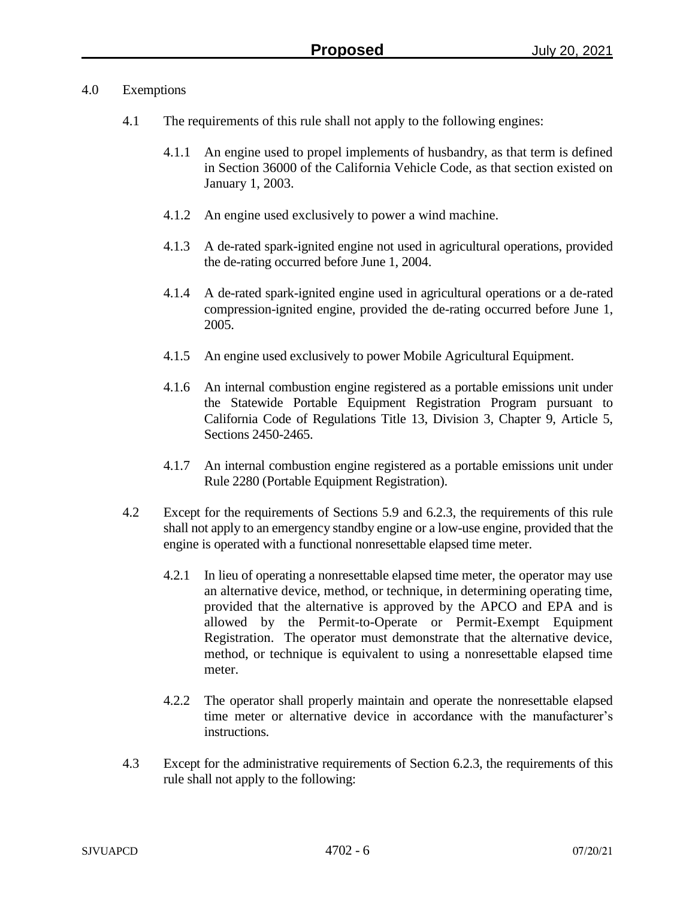### 4.0 Exemptions

- 4.1 The requirements of this rule shall not apply to the following engines:
	- 4.1.1 An engine used to propel implements of husbandry, as that term is defined in Section 36000 of the California Vehicle Code, as that section existed on January 1, 2003.
	- 4.1.2 An engine used exclusively to power a wind machine.
	- 4.1.3 A de-rated spark-ignited engine not used in agricultural operations, provided the de-rating occurred before June 1, 2004.
	- 4.1.4 A de-rated spark-ignited engine used in agricultural operations or a de-rated compression-ignited engine, provided the de-rating occurred before June 1, 2005.
	- 4.1.5 An engine used exclusively to power Mobile Agricultural Equipment.
	- 4.1.6 An internal combustion engine registered as a portable emissions unit under the Statewide Portable Equipment Registration Program pursuant to California Code of Regulations Title 13, Division 3, Chapter 9, Article 5, Sections 2450-2465.
	- 4.1.7 An internal combustion engine registered as a portable emissions unit under Rule 2280 (Portable Equipment Registration).
- 4.2 Except for the requirements of Sections 5.9 and 6.2.3, the requirements of this rule shall not apply to an emergency standby engine or a low-use engine, provided that the engine is operated with a functional nonresettable elapsed time meter.
	- 4.2.1 In lieu of operating a nonresettable elapsed time meter, the operator may use an alternative device, method, or technique, in determining operating time, provided that the alternative is approved by the APCO and EPA and is allowed by the Permit-to-Operate or Permit-Exempt Equipment Registration. The operator must demonstrate that the alternative device, method, or technique is equivalent to using a nonresettable elapsed time meter.
	- 4.2.2 The operator shall properly maintain and operate the nonresettable elapsed time meter or alternative device in accordance with the manufacturer's instructions.
- 4.3 Except for the administrative requirements of Section 6.2.3, the requirements of this rule shall not apply to the following: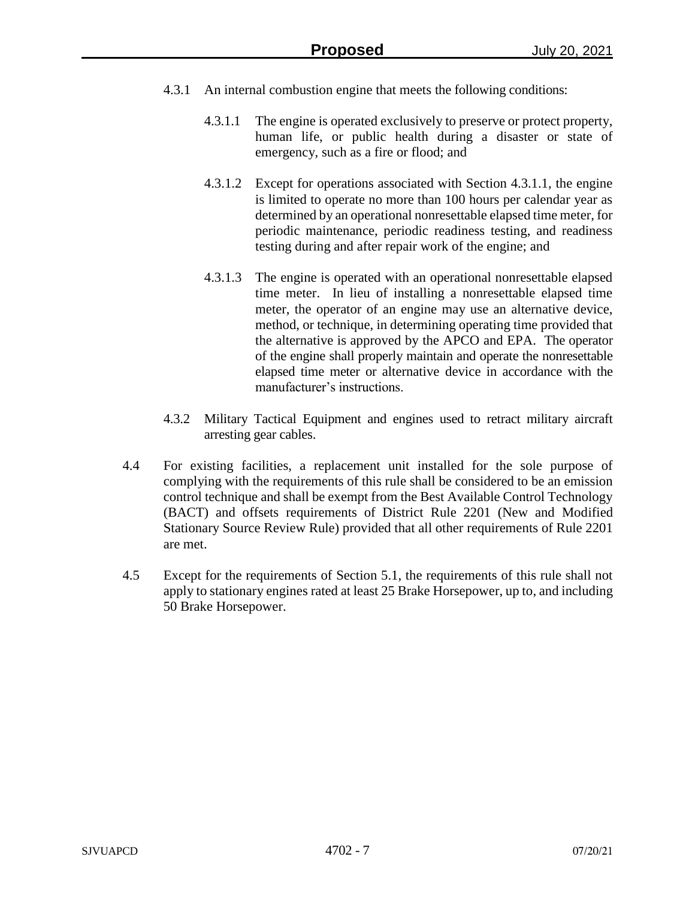- 4.3.1 An internal combustion engine that meets the following conditions:
	- 4.3.1.1 The engine is operated exclusively to preserve or protect property, human life, or public health during a disaster or state of emergency, such as a fire or flood; and
	- 4.3.1.2 Except for operations associated with Section 4.3.1.1, the engine is limited to operate no more than 100 hours per calendar year as determined by an operational nonresettable elapsed time meter, for periodic maintenance, periodic readiness testing, and readiness testing during and after repair work of the engine; and
	- 4.3.1.3 The engine is operated with an operational nonresettable elapsed time meter. In lieu of installing a nonresettable elapsed time meter, the operator of an engine may use an alternative device, method, or technique, in determining operating time provided that the alternative is approved by the APCO and EPA. The operator of the engine shall properly maintain and operate the nonresettable elapsed time meter or alternative device in accordance with the manufacturer's instructions.
- 4.3.2 Military Tactical Equipment and engines used to retract military aircraft arresting gear cables.
- 4.4 For existing facilities, a replacement unit installed for the sole purpose of complying with the requirements of this rule shall be considered to be an emission control technique and shall be exempt from the Best Available Control Technology (BACT) and offsets requirements of District Rule 2201 (New and Modified Stationary Source Review Rule) provided that all other requirements of Rule 2201 are met.
- 4.5 Except for the requirements of Section 5.1, the requirements of this rule shall not apply to stationary engines rated at least 25 Brake Horsepower, up to, and including 50 Brake Horsepower.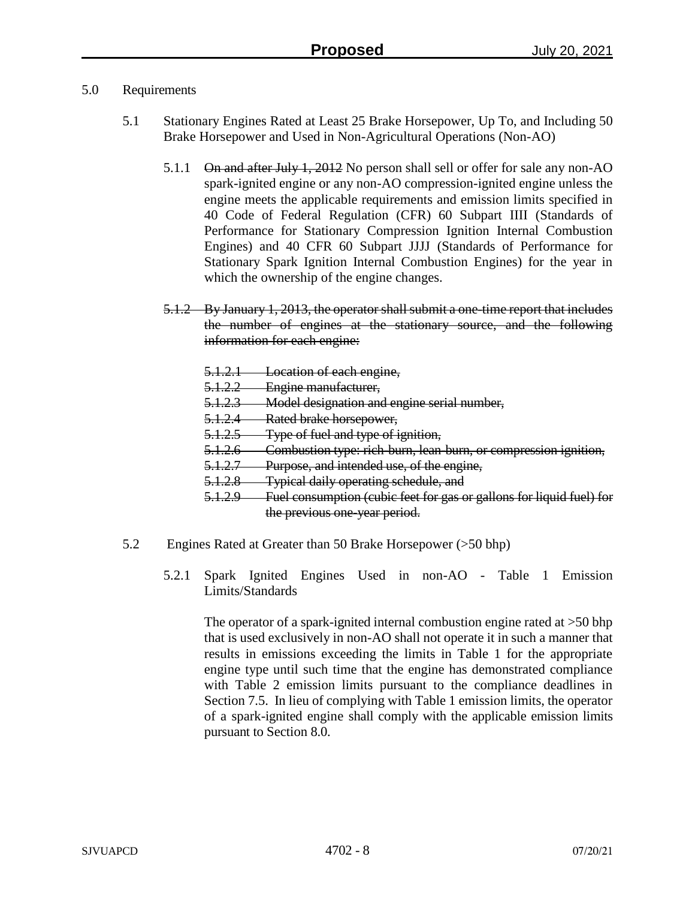## 5.0 Requirements

- 5.1 Stationary Engines Rated at Least 25 Brake Horsepower, Up To, and Including 50 Brake Horsepower and Used in Non-Agricultural Operations (Non-AO)
	- 5.1.1 On and after July 1, 2012 No person shall sell or offer for sale any non-AO spark-ignited engine or any non-AO compression-ignited engine unless the engine meets the applicable requirements and emission limits specified in 40 Code of Federal Regulation (CFR) 60 Subpart IIII (Standards of Performance for Stationary Compression Ignition Internal Combustion Engines) and 40 CFR 60 Subpart JJJJ (Standards of Performance for Stationary Spark Ignition Internal Combustion Engines) for the year in which the ownership of the engine changes.
	- 5.1.2 By January 1, 2013, the operator shall submit a one-time report that includes the number of engines at the stationary source, and the following information for each engine:
		- 5.1.2.1 Location of each engine,
		- 5.1.2.2 Engine manufacturer,
		- 5.1.2.3 Model designation and engine serial number,
		- 5.1.2.4 Rated brake horsepower,
		- 5.1.2.5 Type of fuel and type of ignition,
		- 5.1.2.6 Combustion type: rich-burn, lean-burn, or compression ignition,
		- 5.1.2.7 Purpose, and intended use, of the engine,
		- 5.1.2.8 Typical daily operating schedule, and
		- 5.1.2.9 Fuel consumption (cubic feet for gas or gallons for liquid fuel) for the previous one-year period.
- 5.2 Engines Rated at Greater than 50 Brake Horsepower (>50 bhp)
	- 5.2.1 Spark Ignited Engines Used in non-AO Table 1 Emission Limits/Standards

The operator of a spark-ignited internal combustion engine rated at >50 bhp that is used exclusively in non-AO shall not operate it in such a manner that results in emissions exceeding the limits in Table 1 for the appropriate engine type until such time that the engine has demonstrated compliance with Table 2 emission limits pursuant to the compliance deadlines in Section 7.5. In lieu of complying with Table 1 emission limits, the operator of a spark-ignited engine shall comply with the applicable emission limits pursuant to Section 8.0.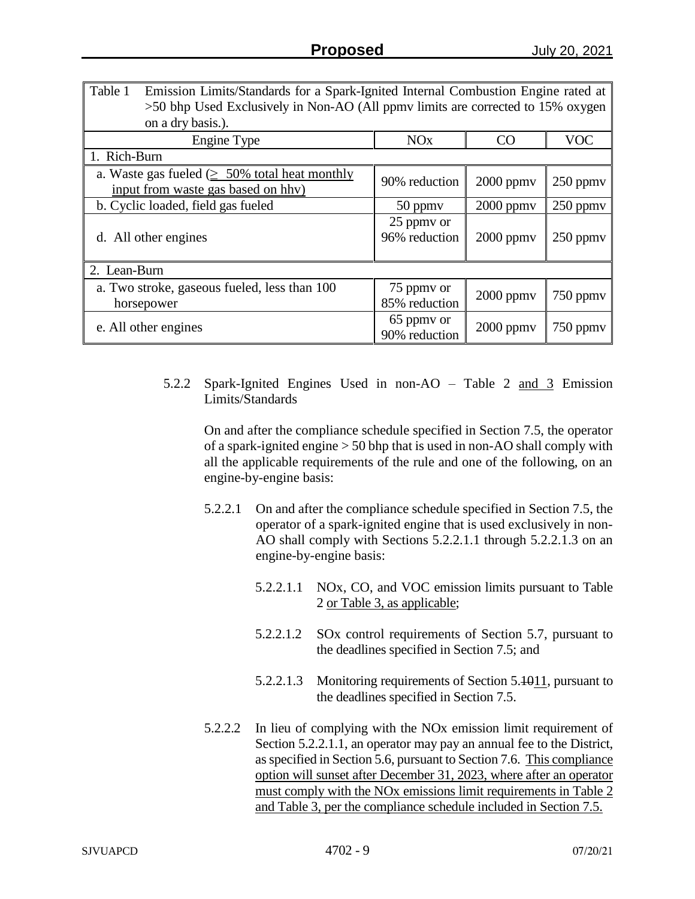| Table 1<br>Emission Limits/Standards for a Spark-Ignited Internal Combustion Engine rated at<br>>50 bhp Used Exclusively in Non-AO (All ppmy limits are corrected to 15% oxygen |                             |                |               |  |
|---------------------------------------------------------------------------------------------------------------------------------------------------------------------------------|-----------------------------|----------------|---------------|--|
| on a dry basis.).                                                                                                                                                               |                             |                |               |  |
| Engine Type                                                                                                                                                                     | <b>NO<sub>x</sub></b>       | CO             | <b>VOC</b>    |  |
| 1. Rich-Burn                                                                                                                                                                    |                             |                |               |  |
| a. Waste gas fueled $( \geq 50\%$ total heat monthly<br>input from waste gas based on hhv)                                                                                      | 90% reduction               | $2000$ ppmv    | $250$ ppm $v$ |  |
| b. Cyclic loaded, field gas fueled                                                                                                                                              | $50$ ppm $v$                | $2000$ ppmv    | 250 ppmv      |  |
| d. All other engines                                                                                                                                                            | 25 ppmy or<br>96% reduction | $2000$ ppm $v$ | $250$ ppmy    |  |
| 2. Lean-Burn                                                                                                                                                                    |                             |                |               |  |
| a. Two stroke, gaseous fueled, less than 100<br>horsepower                                                                                                                      | 75 ppmy or<br>85% reduction | $2000$ ppm $v$ | 750 ppmy      |  |
| e. All other engines                                                                                                                                                            | 65 ppmy or<br>90% reduction | $2000$ ppmv    | 750 ppmv      |  |

5.2.2 Spark-Ignited Engines Used in non-AO – Table 2 and 3 Emission Limits/Standards

On and after the compliance schedule specified in Section 7.5, the operator of a spark-ignited engine > 50 bhp that is used in non-AO shall comply with all the applicable requirements of the rule and one of the following, on an engine-by-engine basis:

- 5.2.2.1 On and after the compliance schedule specified in Section 7.5, the operator of a spark-ignited engine that is used exclusively in non-AO shall comply with Sections 5.2.2.1.1 through 5.2.2.1.3 on an engine-by-engine basis:
	- 5.2.2.1.1 NOx, CO, and VOC emission limits pursuant to Table 2 or Table 3, as applicable;
	- 5.2.2.1.2 SOx control requirements of Section 5.7, pursuant to the deadlines specified in Section 7.5; and
	- 5.2.2.1.3 Monitoring requirements of Section 5.1011, pursuant to the deadlines specified in Section 7.5.
- 5.2.2.2 In lieu of complying with the NOx emission limit requirement of Section 5.2.2.1.1, an operator may pay an annual fee to the District, as specified in Section 5.6, pursuant to Section 7.6. This compliance option will sunset after December 31, 2023, where after an operator must comply with the NOx emissions limit requirements in Table 2 and Table 3, per the compliance schedule included in Section 7.5.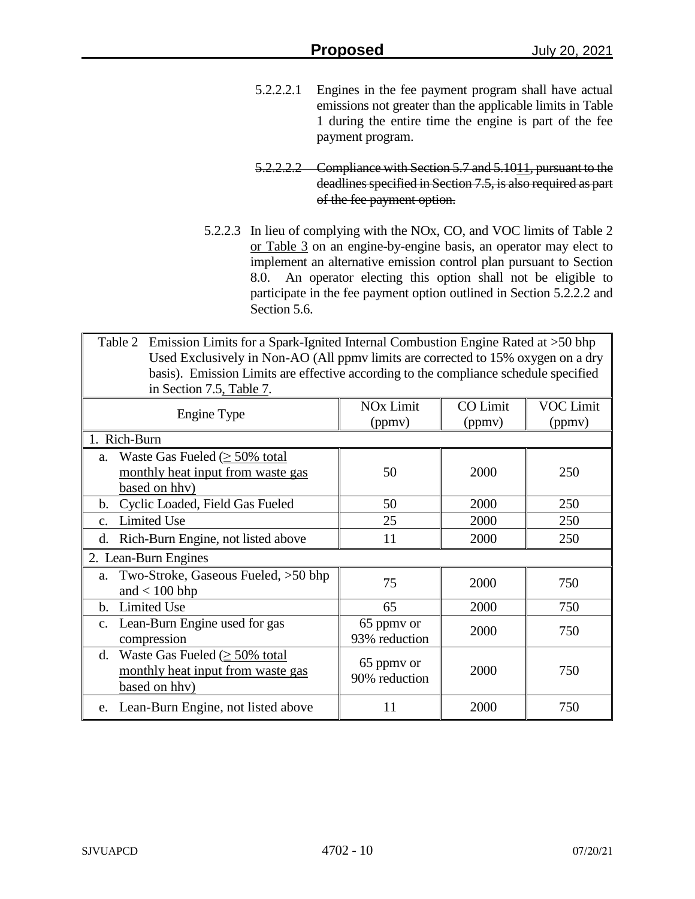- 5.2.2.2.1 Engines in the fee payment program shall have actual emissions not greater than the applicable limits in Table 1 during the entire time the engine is part of the fee payment program.
- 5.2.2.2.2 Compliance with Section 5.7 and 5.1011, pursuant to the deadlines specified in Section 7.5, is also required as part of the fee payment option.
- 5.2.2.3 In lieu of complying with the NOx, CO, and VOC limits of Table 2 or Table 3 on an engine-by-engine basis, an operator may elect to implement an alternative emission control plan pursuant to Section 8.0. An operator electing this option shall not be eligible to participate in the fee payment option outlined in Section 5.2.2.2 and Section 5.6.

Table 2 Emission Limits for a Spark-Ignited Internal Combustion Engine Rated at >50 bhp Used Exclusively in Non-AO (All ppmv limits are corrected to 15% oxygen on a dry basis). Emission Limits are effective according to the compliance schedule specified in Section 7.5, Table 7.

| Engine Type                                                                                                | <b>NO<sub>x</sub></b> Limit<br>(ppmv) | <b>CO</b> Limit<br>(ppmv) | <b>VOC Limit</b><br>(ppmv) |
|------------------------------------------------------------------------------------------------------------|---------------------------------------|---------------------------|----------------------------|
| 1. Rich-Burn                                                                                               |                                       |                           |                            |
| a. Waste Gas Fueled $( \geq 50\% \text{ total}$<br>monthly heat input from waste gas<br>based on hhy)      | 50                                    | 2000                      | 250                        |
| Cyclic Loaded, Field Gas Fueled<br>b.                                                                      | 50                                    | 2000                      | 250                        |
| <b>Limited Use</b><br>$C_{\cdot}$                                                                          | 25                                    | 2000                      | 250                        |
| Rich-Burn Engine, not listed above<br>d.                                                                   | 11                                    | 2000                      | 250                        |
| 2. Lean-Burn Engines                                                                                       |                                       |                           |                            |
| Two-Stroke, Gaseous Fueled, >50 bhp<br>a.<br>and $< 100$ bhp                                               | 75                                    | 2000                      | 750                        |
| <b>Limited Use</b><br>$h_{\cdot}$                                                                          | 65                                    | 2000                      | 750                        |
| Lean-Burn Engine used for gas<br>C <sub>1</sub><br>compression                                             | 65 ppmy or<br>93% reduction           | 2000                      | 750                        |
| Waste Gas Fueled $( \geq 50\% \text{ total} )$<br>d.<br>monthly heat input from waste gas<br>based on hhv) | 65 ppmy or<br>90% reduction           | 2000                      | 750                        |
| e. Lean-Burn Engine, not listed above                                                                      | 11                                    | 2000                      | 750                        |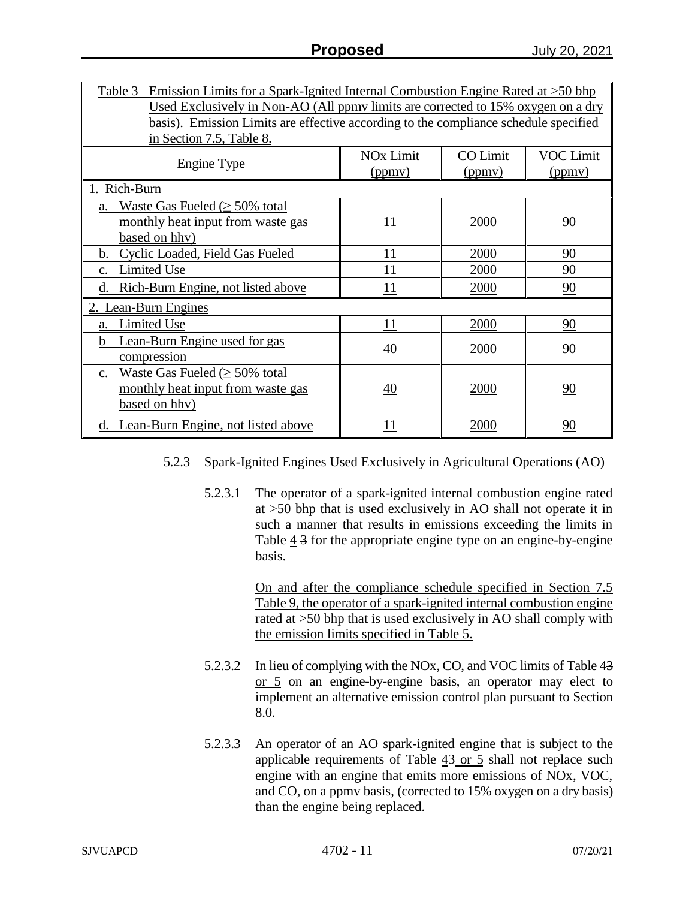| Emission Limits for a Spark-Ignited Internal Combustion Engine Rated at >50 bhp<br>Table 3 |                  |                 |                  |  |  |
|--------------------------------------------------------------------------------------------|------------------|-----------------|------------------|--|--|
| Used Exclusively in Non-AO (All ppmy limits are corrected to 15% oxygen on a dry           |                  |                 |                  |  |  |
| basis). Emission Limits are effective according to the compliance schedule specified       |                  |                 |                  |  |  |
| in Section 7.5, Table 8.                                                                   |                  |                 |                  |  |  |
|                                                                                            | <b>NOx Limit</b> | <b>CO</b> Limit | <b>VOC Limit</b> |  |  |
| <b>Engine Type</b>                                                                         | (ppmy)           | (ppmv)          | (ppmv)           |  |  |
| Rich-Burn                                                                                  |                  |                 |                  |  |  |
| Waste Gas Fueled $( \geq 50\%$ total<br>a.                                                 |                  |                 |                  |  |  |
| monthly heat input from waste gas                                                          | <u> 11</u>       | 2000            | 90               |  |  |
| based on hhv)                                                                              |                  |                 |                  |  |  |
| Cyclic Loaded, Field Gas Fueled<br>11<br>2000<br>90<br>b.                                  |                  |                 |                  |  |  |
| Limited Use<br>c.                                                                          | 11               | 2000            | 90               |  |  |
| Rich-Burn Engine, not listed above<br>d.                                                   | 11               | 2000            | 90               |  |  |
| 2. Lean-Burn Engines                                                                       |                  |                 |                  |  |  |
| Limited Use<br>a.                                                                          | 11               | 2000            | 90               |  |  |
| Lean-Burn Engine used for gas<br>h                                                         |                  |                 |                  |  |  |
| 40<br>90<br>2000<br>compression                                                            |                  |                 |                  |  |  |
| Waste Gas Fueled $(\geq 50\%$ total<br>$c_{\cdot}$                                         |                  |                 |                  |  |  |
| monthly heat input from waste gas                                                          | 40               | 2000            | 90               |  |  |
| based on hhv)                                                                              |                  |                 |                  |  |  |
| d. Lean-Burn Engine, not listed above                                                      | 11               | 2000            | 90               |  |  |

- 5.2.3 Spark-Ignited Engines Used Exclusively in Agricultural Operations (AO)
	- 5.2.3.1 The operator of a spark-ignited internal combustion engine rated at >50 bhp that is used exclusively in AO shall not operate it in such a manner that results in emissions exceeding the limits in Table  $\frac{4}{3}$  for the appropriate engine type on an engine-by-engine basis.

On and after the compliance schedule specified in Section 7.5 Table 9, the operator of a spark-ignited internal combustion engine rated at >50 bhp that is used exclusively in AO shall comply with the emission limits specified in Table 5.

- 5.2.3.2 In lieu of complying with the NOx, CO, and VOC limits of Table 43 or 5 on an engine-by-engine basis, an operator may elect to implement an alternative emission control plan pursuant to Section 8.0.
- 5.2.3.3 An operator of an AO spark-ignited engine that is subject to the applicable requirements of Table  $\frac{43 \text{ or } 5}{4}$  shall not replace such engine with an engine that emits more emissions of NOx, VOC, and CO, on a ppmv basis, (corrected to 15% oxygen on a dry basis) than the engine being replaced.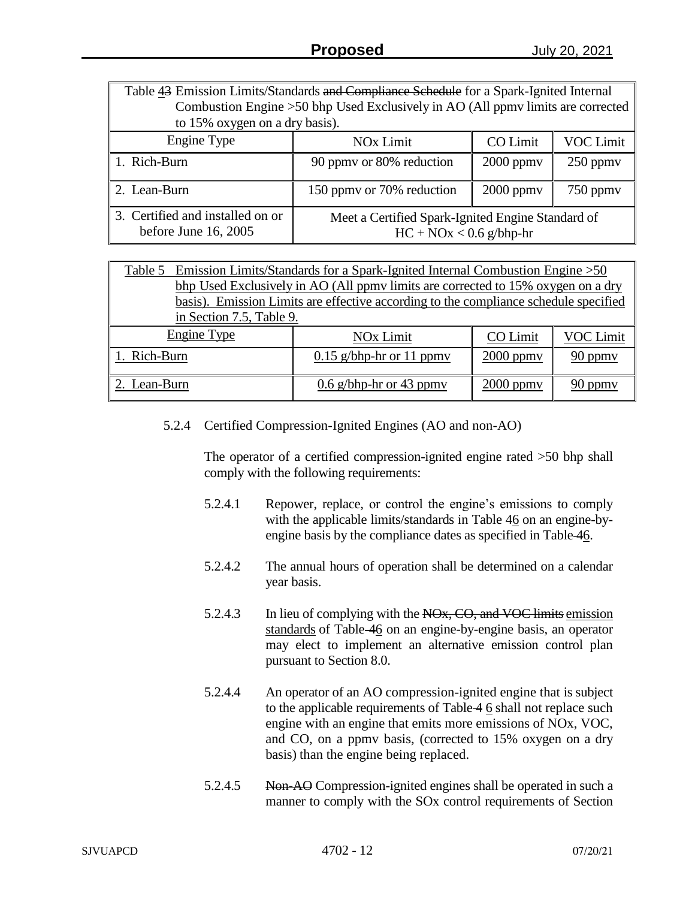| Table 43 Emission Limits/Standards and Compliance Schedule for a Spark-Ignited Internal |                                                                                |                |                  |  |  |
|-----------------------------------------------------------------------------------------|--------------------------------------------------------------------------------|----------------|------------------|--|--|
| Combustion Engine >50 bhp Used Exclusively in AO (All ppmy limits are corrected         |                                                                                |                |                  |  |  |
| to 15% oxygen on a dry basis).                                                          |                                                                                |                |                  |  |  |
| Engine Type                                                                             | <b>NO<sub>x</sub></b> Limit                                                    | CO Limit       | <b>VOC Limit</b> |  |  |
| 1. Rich-Burn                                                                            | 90 ppmy or 80% reduction                                                       | $2000$ ppm $v$ | $250$ ppmy       |  |  |
| 2. Lean-Burn                                                                            | $2000$ ppm $v$<br>150 ppmy or 70% reduction<br>$750$ ppm $v$                   |                |                  |  |  |
| 3. Certified and installed on or<br>before June 16, 2005                                | Meet a Certified Spark-Ignited Engine Standard of<br>$HC + NOx < 0.6$ g/bhp-hr |                |                  |  |  |

| Table 5 Emission Limits/Standards for a Spark-Ignited Internal Combustion Engine > 50 |                                                                                  |                |         |  |  |  |
|---------------------------------------------------------------------------------------|----------------------------------------------------------------------------------|----------------|---------|--|--|--|
|                                                                                       | bhp Used Exclusively in AO (All ppmy limits are corrected to 15% oxygen on a dry |                |         |  |  |  |
| basis). Emission Limits are effective according to the compliance schedule specified  |                                                                                  |                |         |  |  |  |
| in Section 7.5, Table 9.                                                              |                                                                                  |                |         |  |  |  |
| Engine Type<br>CO Limit<br><b>VOC Limit</b><br><b>NO<sub>x</sub></b> Limit            |                                                                                  |                |         |  |  |  |
| $0.15$ g/bhp-hr or 11 ppmv<br>1. Rich-Burn<br>$2000$ ppm $v$<br>90 ppmy               |                                                                                  |                |         |  |  |  |
| 2. Lean-Burn                                                                          | $0.6$ g/bhp-hr or 43 ppmy                                                        | $2000$ ppm $v$ | 90 ppmy |  |  |  |

5.2.4 Certified Compression-Ignited Engines (AO and non-AO)

The operator of a certified compression-ignited engine rated >50 bhp shall comply with the following requirements:

- 5.2.4.1 Repower, replace, or control the engine's emissions to comply with the applicable limits/standards in Table 46 on an engine-byengine basis by the compliance dates as specified in Table 46.
- 5.2.4.2 The annual hours of operation shall be determined on a calendar year basis.
- 5.2.4.3 In lieu of complying with the NO<sub>x</sub>, CO, and VOC limits emission standards of Table 46 on an engine-by-engine basis, an operator may elect to implement an alternative emission control plan pursuant to Section 8.0.
- 5.2.4.4 An operator of an AO compression-ignited engine that is subject to the applicable requirements of Table 4 6 shall not replace such engine with an engine that emits more emissions of NOx, VOC, and CO, on a ppmv basis, (corrected to 15% oxygen on a dry basis) than the engine being replaced.
- 5.2.4.5 Non-AO Compression-ignited engines shall be operated in such a manner to comply with the SOx control requirements of Section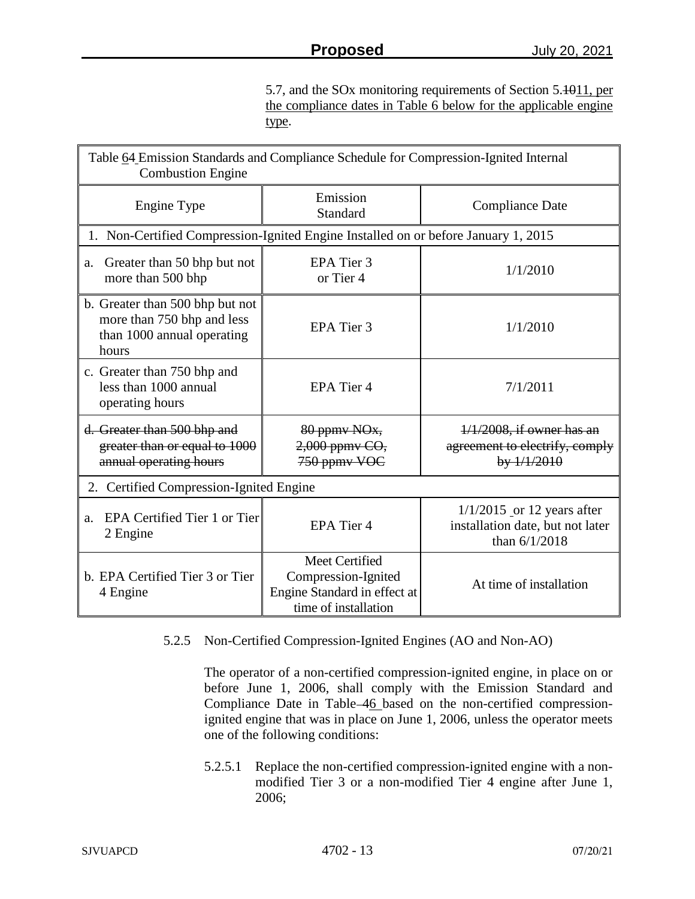5.7, and the SOx monitoring requirements of Section 5.1011, per the compliance dates in Table 6 below for the applicable engine type.

| Table 64 Emission Standards and Compliance Schedule for Compression-Ignited Internal<br><b>Combustion Engine</b> |                                                                                               |                                                                                     |
|------------------------------------------------------------------------------------------------------------------|-----------------------------------------------------------------------------------------------|-------------------------------------------------------------------------------------|
| Engine Type                                                                                                      | Emission<br>Standard                                                                          | <b>Compliance Date</b>                                                              |
| 1. Non-Certified Compression-Ignited Engine Installed on or before January 1, 2015                               |                                                                                               |                                                                                     |
| Greater than 50 bhp but not<br>a.<br>more than 500 bhp                                                           | EPA Tier 3<br>or Tier 4                                                                       | 1/1/2010                                                                            |
| b. Greater than 500 bhp but not<br>more than 750 bhp and less<br>than 1000 annual operating<br>hours             | EPA Tier 3                                                                                    | 1/1/2010                                                                            |
| c. Greater than 750 bhp and<br>less than 1000 annual<br>operating hours                                          | EPA Tier 4                                                                                    | 7/1/2011                                                                            |
| d. Greater than 500 bhp and<br>greater than or equal to 1000<br>annual operating hours                           | 80 ppmv NO <sub>x</sub> ,<br>2,000 ppmy CO,<br>750 ppmv VOC                                   | $1/1/2008$ , if owner has an<br>agreement to electrify, comply<br>by 1/1/2010       |
| 2. Certified Compression-Ignited Engine                                                                          |                                                                                               |                                                                                     |
| EPA Certified Tier 1 or Tier<br>a.<br>2 Engine                                                                   | EPA Tier 4                                                                                    | $1/1/2015$ or 12 years after<br>installation date, but not later<br>than $6/1/2018$ |
| b. EPA Certified Tier 3 or Tier<br>4 Engine                                                                      | Meet Certified<br>Compression-Ignited<br>Engine Standard in effect at<br>time of installation | At time of installation                                                             |

5.2.5 Non-Certified Compression-Ignited Engines (AO and Non-AO)

The operator of a non-certified compression-ignited engine, in place on or before June 1, 2006, shall comply with the Emission Standard and Compliance Date in Table-46 based on the non-certified compressionignited engine that was in place on June 1, 2006, unless the operator meets one of the following conditions:

5.2.5.1 Replace the non-certified compression-ignited engine with a nonmodified Tier 3 or a non-modified Tier 4 engine after June 1, 2006;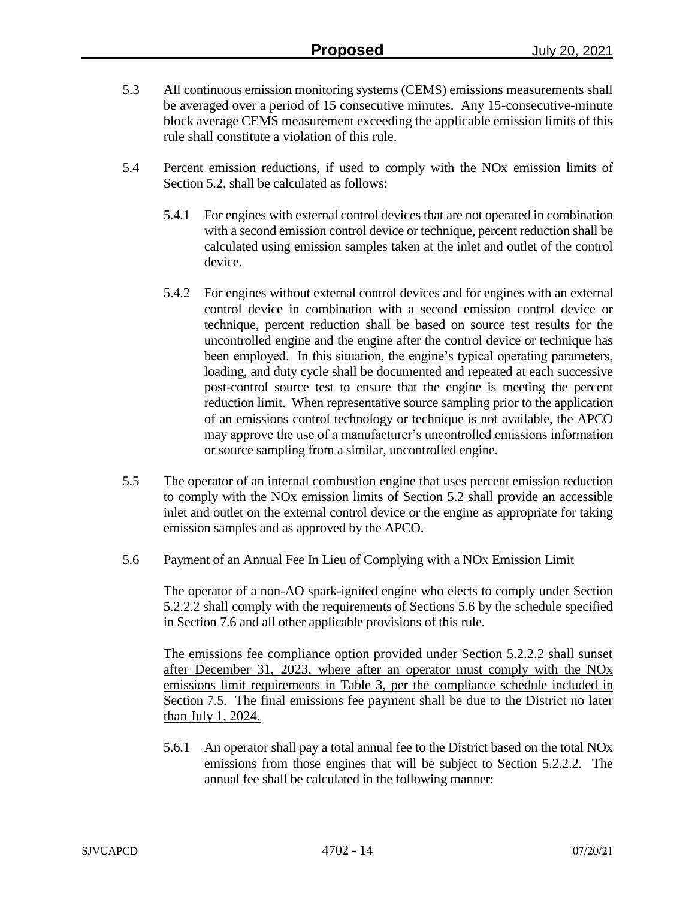- 5.3 All continuous emission monitoring systems (CEMS) emissions measurements shall be averaged over a period of 15 consecutive minutes. Any 15-consecutive-minute block average CEMS measurement exceeding the applicable emission limits of this rule shall constitute a violation of this rule.
- 5.4 Percent emission reductions, if used to comply with the NOx emission limits of Section 5.2, shall be calculated as follows:
	- 5.4.1 For engines with external control devices that are not operated in combination with a second emission control device or technique, percent reduction shall be calculated using emission samples taken at the inlet and outlet of the control device.
	- 5.4.2 For engines without external control devices and for engines with an external control device in combination with a second emission control device or technique, percent reduction shall be based on source test results for the uncontrolled engine and the engine after the control device or technique has been employed. In this situation, the engine's typical operating parameters, loading, and duty cycle shall be documented and repeated at each successive post-control source test to ensure that the engine is meeting the percent reduction limit. When representative source sampling prior to the application of an emissions control technology or technique is not available, the APCO may approve the use of a manufacturer's uncontrolled emissions information or source sampling from a similar, uncontrolled engine.
- 5.5 The operator of an internal combustion engine that uses percent emission reduction to comply with the NOx emission limits of Section 5.2 shall provide an accessible inlet and outlet on the external control device or the engine as appropriate for taking emission samples and as approved by the APCO.
- 5.6 Payment of an Annual Fee In Lieu of Complying with a NOx Emission Limit

The operator of a non-AO spark-ignited engine who elects to comply under Section 5.2.2.2 shall comply with the requirements of Sections 5.6 by the schedule specified in Section 7.6 and all other applicable provisions of this rule.

The emissions fee compliance option provided under Section 5.2.2.2 shall sunset after December 31, 2023, where after an operator must comply with the NOx emissions limit requirements in Table 3, per the compliance schedule included in Section 7.5. The final emissions fee payment shall be due to the District no later than July 1, 2024.

5.6.1 An operator shall pay a total annual fee to the District based on the total NOx emissions from those engines that will be subject to Section 5.2.2.2. The annual fee shall be calculated in the following manner: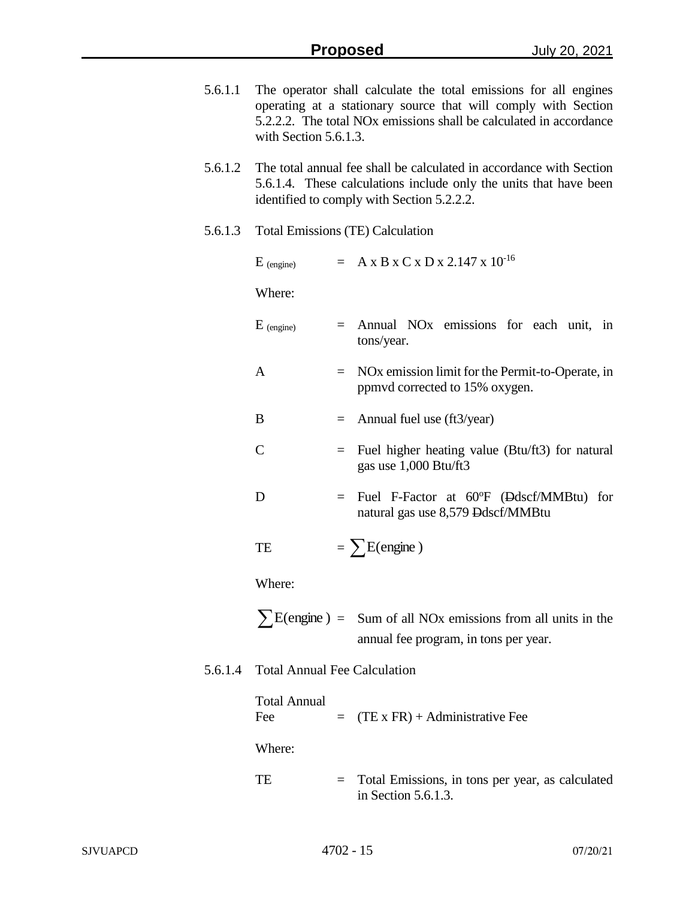- 5.6.1.1 The operator shall calculate the total emissions for all engines operating at a stationary source that will comply with Section 5.2.2.2. The total NOx emissions shall be calculated in accordance with Section 5.6.1.3.
- 5.6.1.2 The total annual fee shall be calculated in accordance with Section 5.6.1.4. These calculations include only the units that have been identified to comply with Section 5.2.2.2.

### 5.6.1.3 Total Emissions (TE) Calculation

| $E_{(engine)}$ |     | $= A x B x C x D x 2.147 x 10^{-16}$                                                           |
|----------------|-----|------------------------------------------------------------------------------------------------|
| Where:         |     |                                                                                                |
| $E_{(engine)}$ |     | Annual NO <sub>x</sub> emissions for each unit, in<br>tons/year.                               |
| A              | $=$ | NO <sub>x</sub> emission limit for the Permit-to-Operate, in<br>ppmvd corrected to 15% oxygen. |
| B              |     | $=$ Annual fuel use (ft3/year)                                                                 |
| C              |     | Fuel higher heating value (Btu/ft3) for natural<br>gas use 1,000 Btu/ft3                       |
| D              | $=$ | Fuel F-Factor at 60°F (Ddscf/MMBtu) for<br>natural gas use 8,579 Ddscf/MMBtu                   |
| TE             |     | $=$ $\sum$ E(engine)                                                                           |
| Where:         |     |                                                                                                |

 $\sum E$ (engine) = Sum of all NOx emissions from all units in the

# annual fee program, in tons per year. 5.6.1.4 Total Annual Fee Calculation

| <b>Total Annual</b><br>Fee | $=$ (TE x FR) + Administrative Fee                                           |
|----------------------------|------------------------------------------------------------------------------|
| Where:                     |                                                                              |
| TE.                        | = Total Emissions, in tons per year, as calculated<br>in Section $5.6.1.3$ . |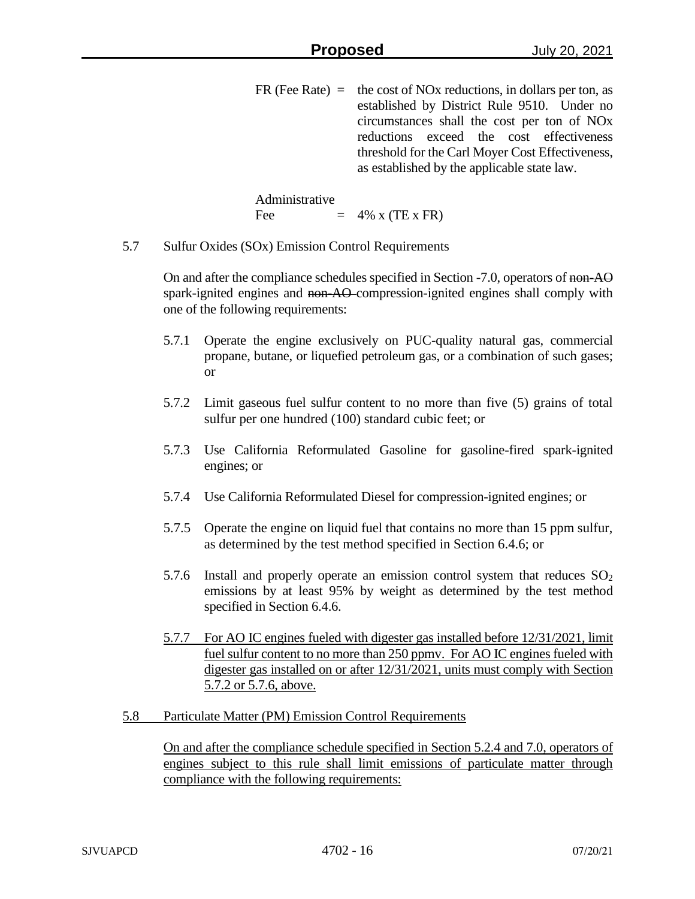$FR$  (Fee Rate) = the cost of NOx reductions, in dollars per ton, as established by District Rule 9510. Under no circumstances shall the cost per ton of NOx reductions exceed the cost effectiveness threshold for the Carl Moyer Cost Effectiveness, as established by the applicable state law.

Administrative Fee  $= 4\% \times (TE \times FR)$ 

5.7 Sulfur Oxides (SOx) Emission Control Requirements

On and after the compliance schedules specified in Section -7.0, operators of non-AO spark-ignited engines and non-AO-compression-ignited engines shall comply with one of the following requirements:

- 5.7.1 Operate the engine exclusively on PUC-quality natural gas, commercial propane, butane, or liquefied petroleum gas, or a combination of such gases; or
- 5.7.2 Limit gaseous fuel sulfur content to no more than five (5) grains of total sulfur per one hundred (100) standard cubic feet; or
- 5.7.3 Use California Reformulated Gasoline for gasoline-fired spark-ignited engines; or
- 5.7.4 Use California Reformulated Diesel for compression-ignited engines; or
- 5.7.5 Operate the engine on liquid fuel that contains no more than 15 ppm sulfur, as determined by the test method specified in Section 6.4.6; or
- 5.7.6 Install and properly operate an emission control system that reduces  $SO<sub>2</sub>$ emissions by at least 95% by weight as determined by the test method specified in Section 6.4.6.
- 5.7.7 For AO IC engines fueled with digester gas installed before 12/31/2021, limit fuel sulfur content to no more than 250 ppmv. For AO IC engines fueled with digester gas installed on or after 12/31/2021, units must comply with Section 5.7.2 or 5.7.6, above.
- 5.8 Particulate Matter (PM) Emission Control Requirements

On and after the compliance schedule specified in Section 5.2.4 and 7.0, operators of engines subject to this rule shall limit emissions of particulate matter through compliance with the following requirements: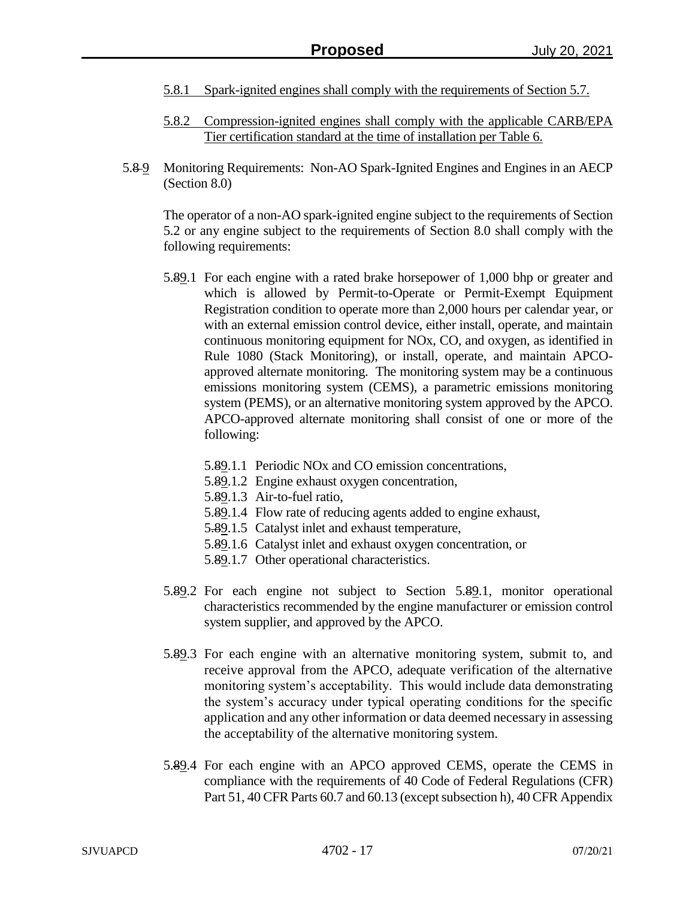- 5.8.1 Spark-ignited engines shall comply with the requirements of Section 5.7.
- 5.8.2 Compression-ignited engines shall comply with the applicable CARB/EPA Tier certification standard at the time of installation per Table 6.
- 5.8-9 Monitoring Requirements: Non-AO Spark-Ignited Engines and Engines in an AECP (Section 8.0)

The operator of a non-AO spark-ignited engine subject to the requirements of Section 5.2 or any engine subject to the requirements of Section 8.0 shall comply with the following requirements:

- 5.89.1 For each engine with a rated brake horsepower of 1,000 bhp or greater and which is allowed by Permit-to-Operate or Permit-Exempt Equipment Registration condition to operate more than 2,000 hours per calendar year, or with an external emission control device, either install, operate, and maintain continuous monitoring equipment for NOx, CO, and oxygen, as identified in Rule 1080 (Stack Monitoring), or install, operate, and maintain APCOapproved alternate monitoring. The monitoring system may be a continuous emissions monitoring system (CEMS), a parametric emissions monitoring system (PEMS), or an alternative monitoring system approved by the APCO. APCO-approved alternate monitoring shall consist of one or more of the following:
	- 5.89.1.1 Periodic NOx and CO emission concentrations,
	- 5.89.1.2 Engine exhaust oxygen concentration,
	- 5.89.1.3 Air-to-fuel ratio,
	- 5.89.1.4 Flow rate of reducing agents added to engine exhaust,
	- 5.89.1.5 Catalyst inlet and exhaust temperature,
	- 5.89.1.6 Catalyst inlet and exhaust oxygen concentration, or
	- 5.89.1.7 Other operational characteristics.
- 5.89.2 For each engine not subject to Section 5.89.1, monitor operational characteristics recommended by the engine manufacturer or emission control system supplier, and approved by the APCO.
- 5.89.3 For each engine with an alternative monitoring system, submit to, and receive approval from the APCO, adequate verification of the alternative monitoring system's acceptability. This would include data demonstrating the system's accuracy under typical operating conditions for the specific application and any other information or data deemed necessary in assessing the acceptability of the alternative monitoring system.
- 5.89.4 For each engine with an APCO approved CEMS, operate the CEMS in compliance with the requirements of 40 Code of Federal Regulations (CFR) Part 51, 40 CFR Parts 60.7 and 60.13 (except subsection h), 40 CFR Appendix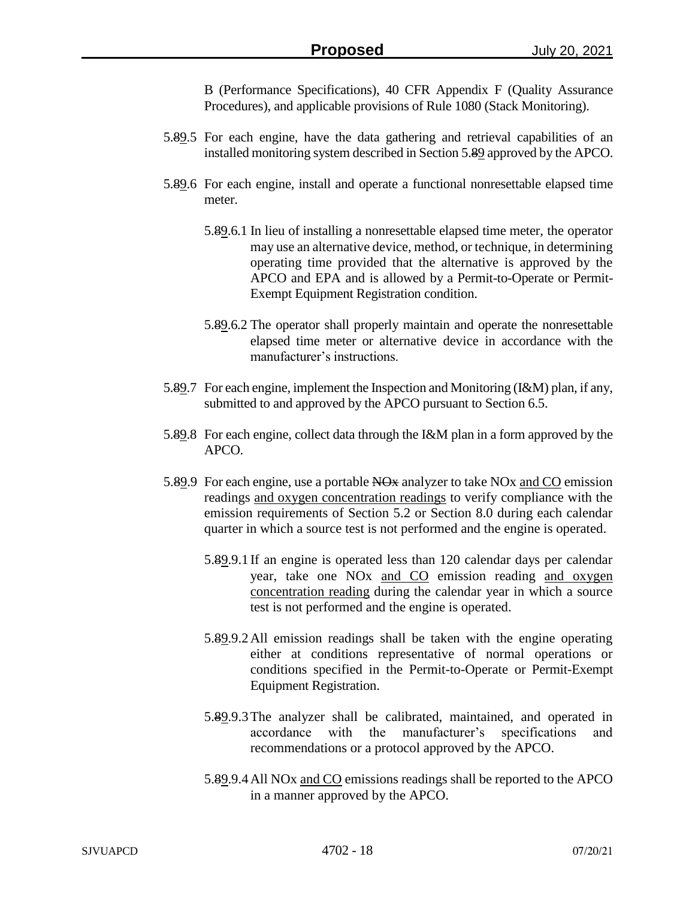B (Performance Specifications), 40 CFR Appendix F (Quality Assurance Procedures), and applicable provisions of Rule 1080 (Stack Monitoring).

- 5.89.5 For each engine, have the data gathering and retrieval capabilities of an installed monitoring system described in Section 5.89 approved by the APCO.
- 5.89.6 For each engine, install and operate a functional nonresettable elapsed time meter.
	- 5.89.6.1 In lieu of installing a nonresettable elapsed time meter, the operator may use an alternative device, method, or technique, in determining operating time provided that the alternative is approved by the APCO and EPA and is allowed by a Permit-to-Operate or Permit-Exempt Equipment Registration condition.
	- 5.89.6.2 The operator shall properly maintain and operate the nonresettable elapsed time meter or alternative device in accordance with the manufacturer's instructions.
- 5.89.7 For each engine, implement the Inspection and Monitoring (I&M) plan, if any, submitted to and approved by the APCO pursuant to Section 6.5.
- 5.89.8 For each engine, collect data through the I&M plan in a form approved by the APCO.
- 5.89.9 For each engine, use a portable NO<sub>x</sub> analyzer to take NO<sub>x</sub> and CO emission readings and oxygen concentration readings to verify compliance with the emission requirements of Section 5.2 or Section 8.0 during each calendar quarter in which a source test is not performed and the engine is operated.
	- 5.89.9.1 If an engine is operated less than 120 calendar days per calendar year, take one NOx and CO emission reading and oxygen concentration reading during the calendar year in which a source test is not performed and the engine is operated.
	- 5.89.9.2All emission readings shall be taken with the engine operating either at conditions representative of normal operations or conditions specified in the Permit-to-Operate or Permit-Exempt Equipment Registration.
	- 5.89.9.3The analyzer shall be calibrated, maintained, and operated in accordance with the manufacturer's specifications and recommendations or a protocol approved by the APCO.
	- 5.89.9.4All NOx and CO emissions readings shall be reported to the APCO in a manner approved by the APCO.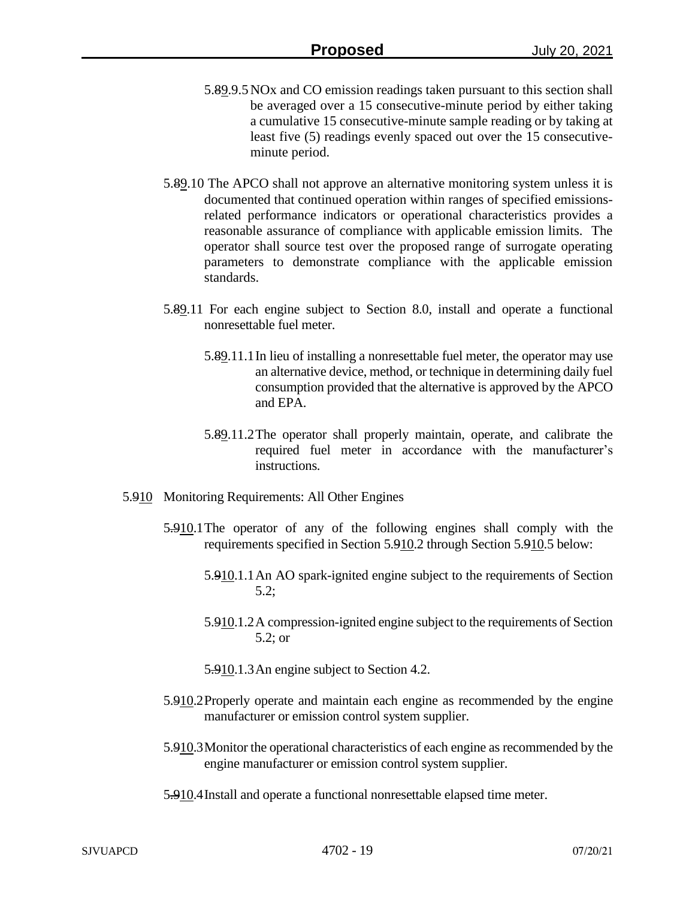- 5.89.9.5NOx and CO emission readings taken pursuant to this section shall be averaged over a 15 consecutive-minute period by either taking a cumulative 15 consecutive-minute sample reading or by taking at least five (5) readings evenly spaced out over the 15 consecutiveminute period.
- 5.89.10 The APCO shall not approve an alternative monitoring system unless it is documented that continued operation within ranges of specified emissionsrelated performance indicators or operational characteristics provides a reasonable assurance of compliance with applicable emission limits. The operator shall source test over the proposed range of surrogate operating parameters to demonstrate compliance with the applicable emission standards.
- 5.89.11 For each engine subject to Section 8.0, install and operate a functional nonresettable fuel meter.
	- 5.89.11.1In lieu of installing a nonresettable fuel meter, the operator may use an alternative device, method, or technique in determining daily fuel consumption provided that the alternative is approved by the APCO and EPA.
	- 5.89.11.2The operator shall properly maintain, operate, and calibrate the required fuel meter in accordance with the manufacturer's instructions.
- 5.910 Monitoring Requirements: All Other Engines
	- 5.910.1The operator of any of the following engines shall comply with the requirements specified in Section 5.910.2 through Section 5.910.5 below:
		- 5.910.1.1An AO spark-ignited engine subject to the requirements of Section 5.2;
		- 5.910.1.2A compression-ignited engine subject to the requirements of Section 5.2; or
		- 5.910.1.3An engine subject to Section 4.2.
	- 5.910.2Properly operate and maintain each engine as recommended by the engine manufacturer or emission control system supplier.
	- 5.910.3Monitor the operational characteristics of each engine as recommended by the engine manufacturer or emission control system supplier.
	- 5.910.4Install and operate a functional nonresettable elapsed time meter.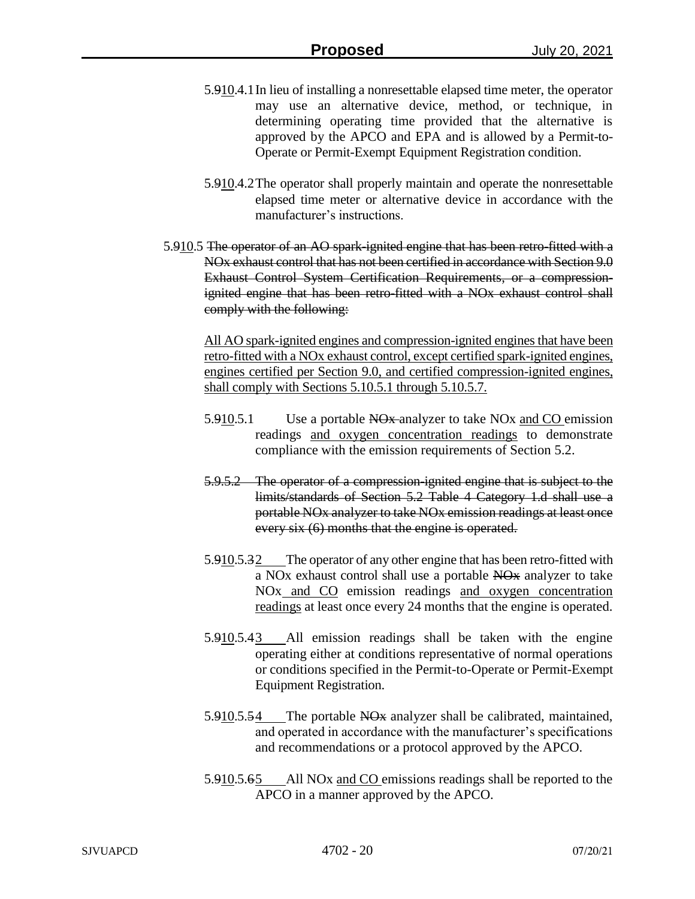- 5.910.4.1In lieu of installing a nonresettable elapsed time meter, the operator may use an alternative device, method, or technique, in determining operating time provided that the alternative is approved by the APCO and EPA and is allowed by a Permit-to-Operate or Permit-Exempt Equipment Registration condition.
- 5.910.4.2The operator shall properly maintain and operate the nonresettable elapsed time meter or alternative device in accordance with the manufacturer's instructions.
- 5.910.5 The operator of an AO spark-ignited engine that has been retro-fitted with a NOx exhaust control that has not been certified in accordance with Section 9.0 Exhaust Control System Certification Requirements, or a compressionignited engine that has been retro-fitted with a NOx exhaust control shall comply with the following:

All AO spark-ignited engines and compression-ignited engines that have been retro-fitted with a NOx exhaust control, except certified spark-ignited engines, engines certified per Section 9.0, and certified compression-ignited engines, shall comply with Sections 5.10.5.1 through 5.10.5.7.

- 5.910.5.1 Use a portable NO<sub>x</sub> analyzer to take NO<sub>x</sub> and CO emission readings and oxygen concentration readings to demonstrate compliance with the emission requirements of Section 5.2.
- 5.9.5.2 The operator of a compression-ignited engine that is subject to the limits/standards of Section 5.2 Table 4 Category 1.d shall use a portable NOx analyzer to take NOx emission readings at least once every six (6) months that the engine is operated.
- 5.910.5.32 The operator of any other engine that has been retro-fitted with a NOx exhaust control shall use a portable NOx analyzer to take NO<sub>x</sub> and CO emission readings and oxygen concentration readings at least once every 24 months that the engine is operated.
- 5.910.5.43 All emission readings shall be taken with the engine operating either at conditions representative of normal operations or conditions specified in the Permit-to-Operate or Permit-Exempt Equipment Registration.
- 5.910.5.54 The portable NO<sub>x</sub> analyzer shall be calibrated, maintained, and operated in accordance with the manufacturer's specifications and recommendations or a protocol approved by the APCO.
- 5.910.5.65 All NOx and CO emissions readings shall be reported to the APCO in a manner approved by the APCO.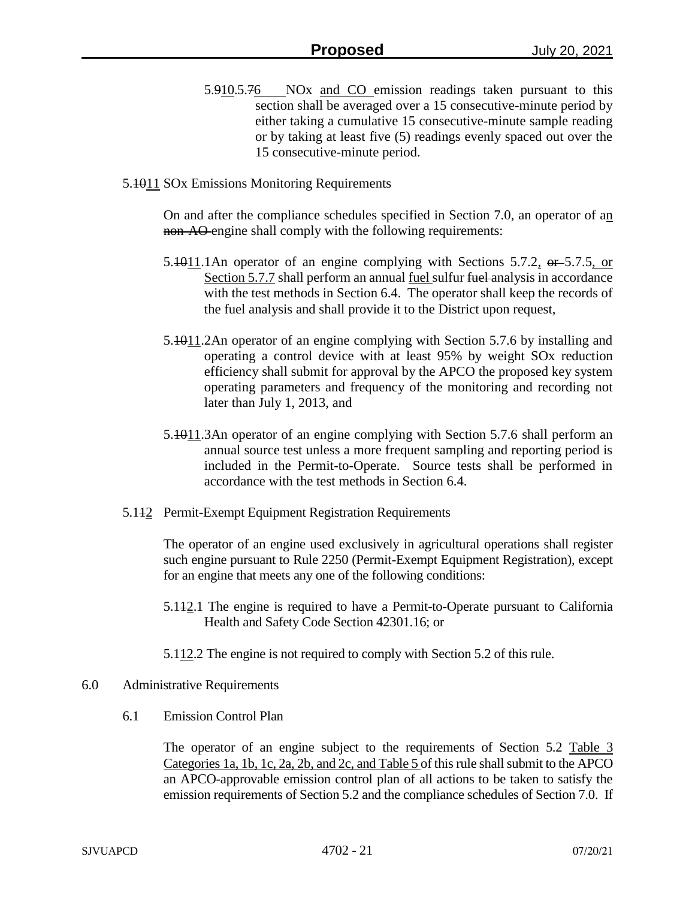- 5.910.5.76 NOx and CO emission readings taken pursuant to this section shall be averaged over a 15 consecutive-minute period by either taking a cumulative 15 consecutive-minute sample reading or by taking at least five (5) readings evenly spaced out over the 15 consecutive-minute period.
- 5.1011 SOx Emissions Monitoring Requirements

On and after the compliance schedules specified in Section 7.0, an operator of an non-AO engine shall comply with the following requirements:

- 5.1011.1An operator of an engine complying with Sections 5.7.2,  $\sigma$  -5.7.5, or Section 5.7.7 shall perform an annual fuel sulfur fuel analysis in accordance with the test methods in Section 6.4. The operator shall keep the records of the fuel analysis and shall provide it to the District upon request,
- 5.1011.2An operator of an engine complying with Section 5.7.6 by installing and operating a control device with at least 95% by weight SOx reduction efficiency shall submit for approval by the APCO the proposed key system operating parameters and frequency of the monitoring and recording not later than July 1, 2013, and
- 5.1011.3An operator of an engine complying with Section 5.7.6 shall perform an annual source test unless a more frequent sampling and reporting period is included in the Permit-to-Operate. Source tests shall be performed in accordance with the test methods in Section 6.4.
- 5.112 Permit-Exempt Equipment Registration Requirements

The operator of an engine used exclusively in agricultural operations shall register such engine pursuant to Rule 2250 (Permit-Exempt Equipment Registration), except for an engine that meets any one of the following conditions:

- 5.112.1 The engine is required to have a Permit-to-Operate pursuant to California Health and Safety Code Section 42301.16; or
- 5.112.2 The engine is not required to comply with Section 5.2 of this rule.
- 6.0 Administrative Requirements
	- 6.1 Emission Control Plan

The operator of an engine subject to the requirements of Section 5.2 Table 3 Categories 1a, 1b, 1c, 2a, 2b, and 2c, and Table 5 of this rule shall submit to the APCO an APCO-approvable emission control plan of all actions to be taken to satisfy the emission requirements of Section 5.2 and the compliance schedules of Section 7.0. If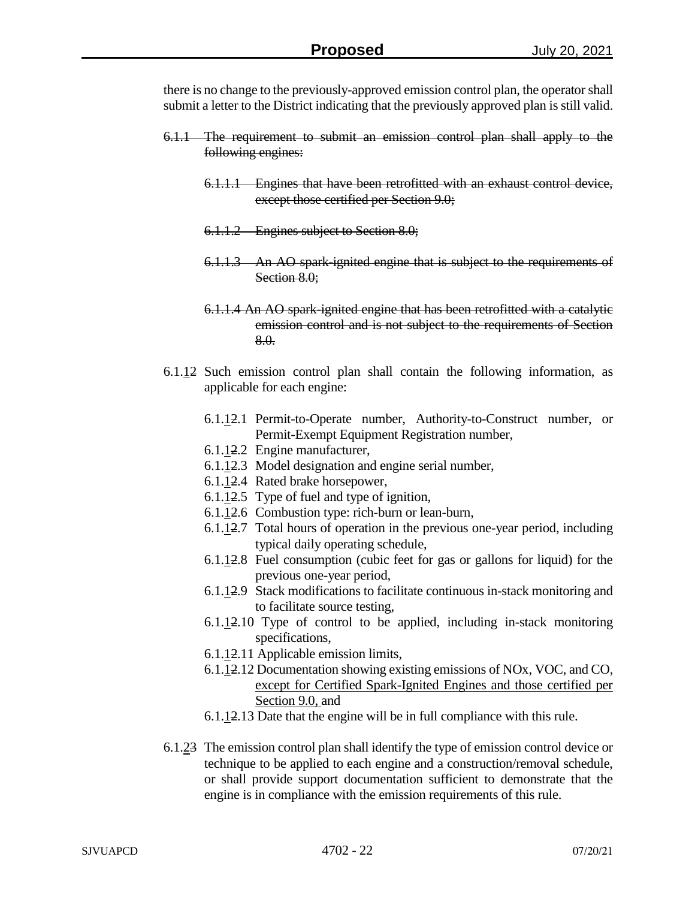there is no change to the previously-approved emission control plan, the operator shall submit a letter to the District indicating that the previously approved plan is still valid.

- 6.1.1 The requirement to submit an emission control plan shall apply to the following engines:
	- 6.1.1.1 Engines that have been retrofitted with an exhaust control device, except those certified per Section 9.0;
	- 6.1.1.2 Engines subject to Section 8.0;
	- 6.1.1.3 An AO spark-ignited engine that is subject to the requirements of Section 8.0;
	- 6.1.1.4 An AO spark-ignited engine that has been retrofitted with a catalytic emission control and is not subject to the requirements of Section 8.0.
- 6.1.12 Such emission control plan shall contain the following information, as applicable for each engine:
	- 6.1.12.1 Permit-to-Operate number, Authority-to-Construct number, or Permit-Exempt Equipment Registration number,
	- 6.1.12.2 Engine manufacturer,
	- 6.1.12.3 Model designation and engine serial number,
	- 6.1.12.4 Rated brake horsepower,
	- 6.1.12.5 Type of fuel and type of ignition,
	- 6.1.12.6 Combustion type: rich-burn or lean-burn,
	- 6.1.12.7 Total hours of operation in the previous one-year period, including typical daily operating schedule,
	- 6.1.12.8 Fuel consumption (cubic feet for gas or gallons for liquid) for the previous one-year period,
	- 6.1.12.9 Stack modifications to facilitate continuous in-stack monitoring and to facilitate source testing,
	- 6.1.12.10 Type of control to be applied, including in-stack monitoring specifications,
	- 6.1.12.11 Applicable emission limits,
	- 6.1.12.12 Documentation showing existing emissions of NOx, VOC, and CO, except for Certified Spark-Ignited Engines and those certified per Section 9.0, and
	- 6.1.12.13 Date that the engine will be in full compliance with this rule.
- 6.1.23 The emission control plan shall identify the type of emission control device or technique to be applied to each engine and a construction/removal schedule, or shall provide support documentation sufficient to demonstrate that the engine is in compliance with the emission requirements of this rule.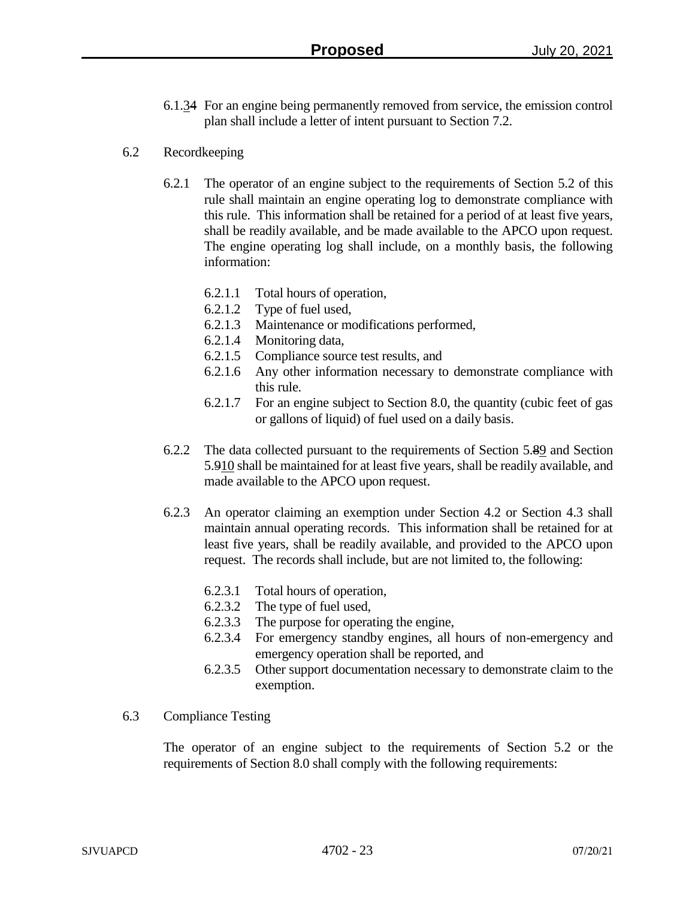- 6.1.34 For an engine being permanently removed from service, the emission control plan shall include a letter of intent pursuant to Section 7.2.
- 6.2 Recordkeeping
	- 6.2.1 The operator of an engine subject to the requirements of Section 5.2 of this rule shall maintain an engine operating log to demonstrate compliance with this rule. This information shall be retained for a period of at least five years, shall be readily available, and be made available to the APCO upon request. The engine operating log shall include, on a monthly basis, the following information:
		- 6.2.1.1 Total hours of operation,
		- 6.2.1.2 Type of fuel used,
		- 6.2.1.3 Maintenance or modifications performed,
		- 6.2.1.4 Monitoring data,
		- 6.2.1.5 Compliance source test results, and
		- 6.2.1.6 Any other information necessary to demonstrate compliance with this rule.
		- 6.2.1.7 For an engine subject to Section 8.0, the quantity (cubic feet of gas or gallons of liquid) of fuel used on a daily basis.
	- 6.2.2 The data collected pursuant to the requirements of Section 5.89 and Section 5.910 shall be maintained for at least five years, shall be readily available, and made available to the APCO upon request.
	- 6.2.3 An operator claiming an exemption under Section 4.2 or Section 4.3 shall maintain annual operating records. This information shall be retained for at least five years, shall be readily available, and provided to the APCO upon request. The records shall include, but are not limited to, the following:
		- 6.2.3.1 Total hours of operation,
		- 6.2.3.2 The type of fuel used,
		- 6.2.3.3 The purpose for operating the engine,
		- 6.2.3.4 For emergency standby engines, all hours of non-emergency and emergency operation shall be reported, and
		- 6.2.3.5 Other support documentation necessary to demonstrate claim to the exemption.
- 6.3 Compliance Testing

The operator of an engine subject to the requirements of Section 5.2 or the requirements of Section 8.0 shall comply with the following requirements: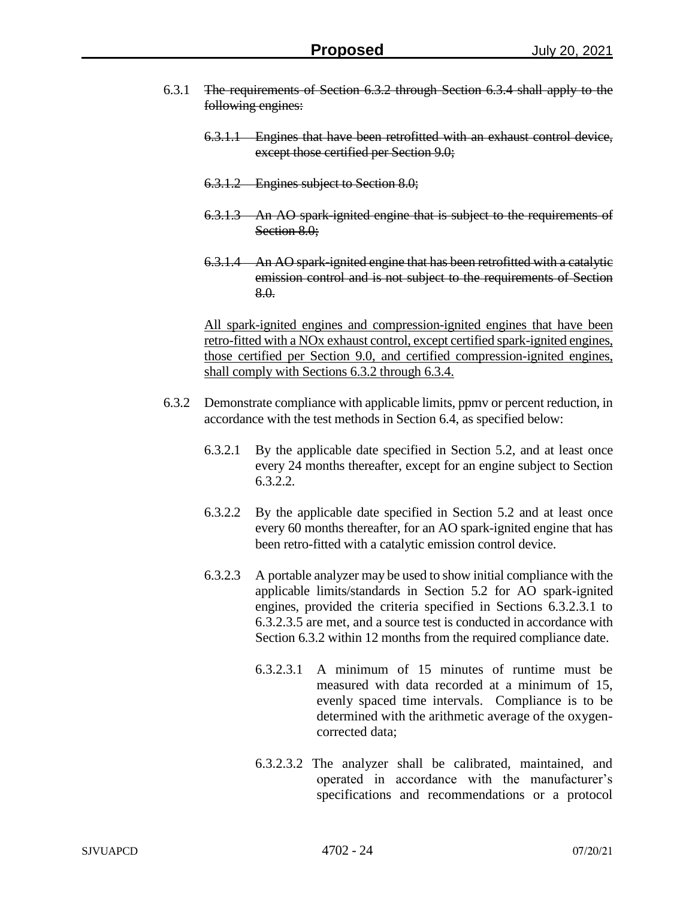- 6.3.1 The requirements of Section 6.3.2 through Section 6.3.4 shall apply to the following engines:
	- 6.3.1.1 Engines that have been retrofitted with an exhaust control device, except those certified per Section 9.0;
	- 6.3.1.2 Engines subject to Section 8.0;
	- 6.3.1.3 An AO spark-ignited engine that is subject to the requirements of Section 8.0;
	- 6.3.1.4 An AO spark-ignited engine that has been retrofitted with a catalytic emission control and is not subject to the requirements of Section 8.0.

All spark-ignited engines and compression-ignited engines that have been retro-fitted with a NOx exhaust control, except certified spark-ignited engines, those certified per Section 9.0, and certified compression-ignited engines, shall comply with Sections 6.3.2 through 6.3.4.

- 6.3.2 Demonstrate compliance with applicable limits, ppmv or percent reduction, in accordance with the test methods in Section 6.4, as specified below:
	- 6.3.2.1 By the applicable date specified in Section 5.2, and at least once every 24 months thereafter, except for an engine subject to Section 6.3.2.2.
	- 6.3.2.2 By the applicable date specified in Section 5.2 and at least once every 60 months thereafter, for an AO spark-ignited engine that has been retro-fitted with a catalytic emission control device.
	- 6.3.2.3 A portable analyzer may be used to show initial compliance with the applicable limits/standards in Section 5.2 for AO spark-ignited engines, provided the criteria specified in Sections 6.3.2.3.1 to 6.3.2.3.5 are met, and a source test is conducted in accordance with Section 6.3.2 within 12 months from the required compliance date.
		- 6.3.2.3.1 A minimum of 15 minutes of runtime must be measured with data recorded at a minimum of 15, evenly spaced time intervals. Compliance is to be determined with the arithmetic average of the oxygencorrected data;
		- 6.3.2.3.2 The analyzer shall be calibrated, maintained, and operated in accordance with the manufacturer's specifications and recommendations or a protocol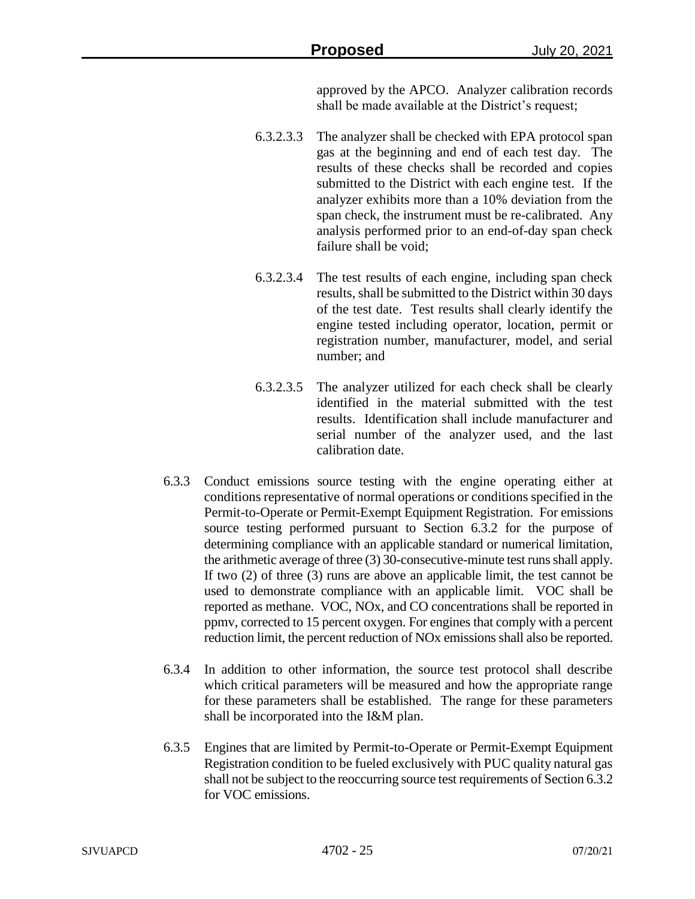approved by the APCO. Analyzer calibration records shall be made available at the District's request;

- 6.3.2.3.3 The analyzer shall be checked with EPA protocol span gas at the beginning and end of each test day. The results of these checks shall be recorded and copies submitted to the District with each engine test. If the analyzer exhibits more than a 10% deviation from the span check, the instrument must be re-calibrated. Any analysis performed prior to an end-of-day span check failure shall be void;
- 6.3.2.3.4 The test results of each engine, including span check results, shall be submitted to the District within 30 days of the test date. Test results shall clearly identify the engine tested including operator, location, permit or registration number, manufacturer, model, and serial number; and
- 6.3.2.3.5 The analyzer utilized for each check shall be clearly identified in the material submitted with the test results. Identification shall include manufacturer and serial number of the analyzer used, and the last calibration date.
- 6.3.3 Conduct emissions source testing with the engine operating either at conditions representative of normal operations or conditions specified in the Permit-to-Operate or Permit-Exempt Equipment Registration. For emissions source testing performed pursuant to Section 6.3.2 for the purpose of determining compliance with an applicable standard or numerical limitation, the arithmetic average of three (3) 30-consecutive-minute test runs shall apply. If two (2) of three (3) runs are above an applicable limit, the test cannot be used to demonstrate compliance with an applicable limit. VOC shall be reported as methane. VOC, NOx, and CO concentrations shall be reported in ppmv, corrected to 15 percent oxygen. For engines that comply with a percent reduction limit, the percent reduction of NOx emissions shall also be reported.
- 6.3.4 In addition to other information, the source test protocol shall describe which critical parameters will be measured and how the appropriate range for these parameters shall be established. The range for these parameters shall be incorporated into the I&M plan.
- 6.3.5 Engines that are limited by Permit-to-Operate or Permit-Exempt Equipment Registration condition to be fueled exclusively with PUC quality natural gas shall not be subject to the reoccurring source test requirements of Section 6.3.2 for VOC emissions.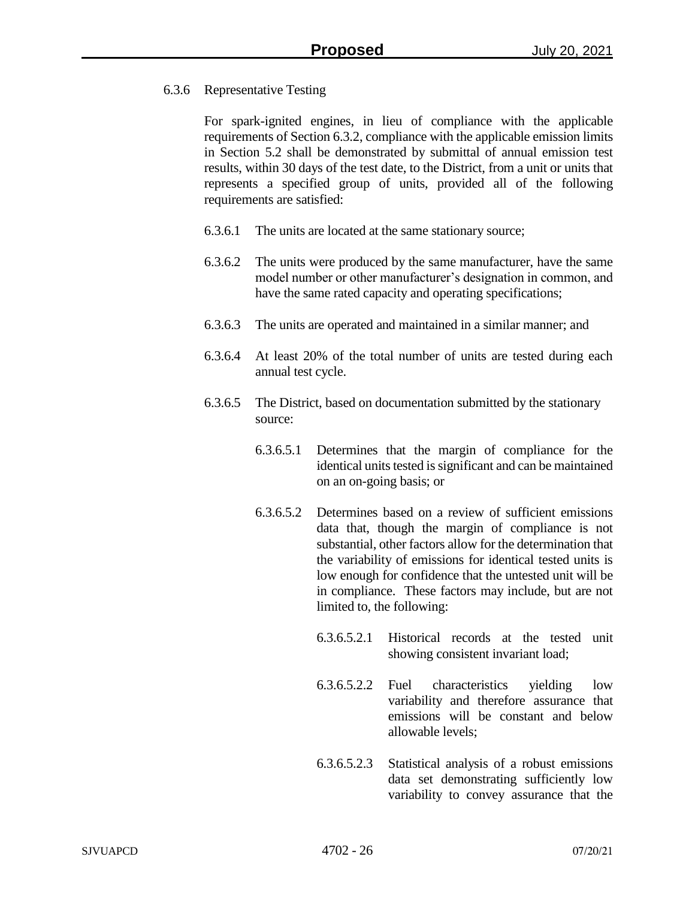# 6.3.6 Representative Testing

For spark-ignited engines, in lieu of compliance with the applicable requirements of Section 6.3.2, compliance with the applicable emission limits in Section 5.2 shall be demonstrated by submittal of annual emission test results, within 30 days of the test date, to the District, from a unit or units that represents a specified group of units, provided all of the following requirements are satisfied:

- 6.3.6.1 The units are located at the same stationary source;
- 6.3.6.2 The units were produced by the same manufacturer, have the same model number or other manufacturer's designation in common, and have the same rated capacity and operating specifications;
- 6.3.6.3 The units are operated and maintained in a similar manner; and
- 6.3.6.4 At least 20% of the total number of units are tested during each annual test cycle.
- 6.3.6.5 The District, based on documentation submitted by the stationary source:
	- 6.3.6.5.1 Determines that the margin of compliance for the identical units tested is significant and can be maintained on an on-going basis; or
	- 6.3.6.5.2 Determines based on a review of sufficient emissions data that, though the margin of compliance is not substantial, other factors allow for the determination that the variability of emissions for identical tested units is low enough for confidence that the untested unit will be in compliance. These factors may include, but are not limited to, the following:
		- 6.3.6.5.2.1 Historical records at the tested unit showing consistent invariant load;
		- 6.3.6.5.2.2 Fuel characteristics yielding low variability and therefore assurance that emissions will be constant and below allowable levels;
		- 6.3.6.5.2.3 Statistical analysis of a robust emissions data set demonstrating sufficiently low variability to convey assurance that the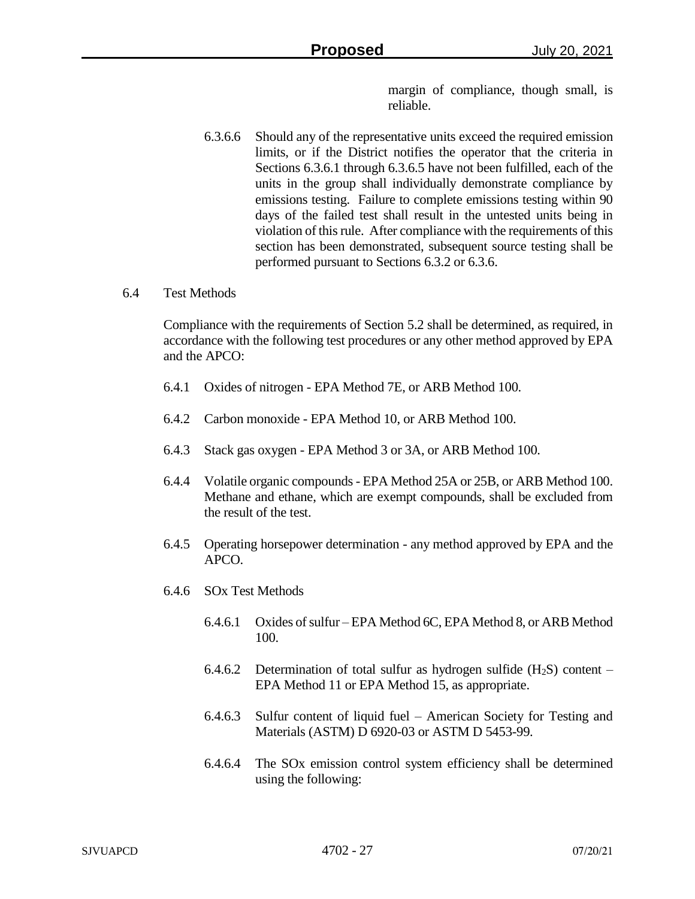margin of compliance, though small, is reliable.

6.3.6.6 Should any of the representative units exceed the required emission limits, or if the District notifies the operator that the criteria in Sections 6.3.6.1 through 6.3.6.5 have not been fulfilled, each of the units in the group shall individually demonstrate compliance by emissions testing. Failure to complete emissions testing within 90 days of the failed test shall result in the untested units being in violation of this rule. After compliance with the requirements of this section has been demonstrated, subsequent source testing shall be performed pursuant to Sections 6.3.2 or 6.3.6.

### 6.4 Test Methods

Compliance with the requirements of Section 5.2 shall be determined, as required, in accordance with the following test procedures or any other method approved by EPA and the APCO:

- 6.4.1 Oxides of nitrogen EPA Method 7E, or ARB Method 100.
- 6.4.2 Carbon monoxide EPA Method 10, or ARB Method 100.
- 6.4.3 Stack gas oxygen EPA Method 3 or 3A, or ARB Method 100.
- 6.4.4 Volatile organic compounds EPA Method 25A or 25B, or ARB Method 100. Methane and ethane, which are exempt compounds, shall be excluded from the result of the test.
- 6.4.5 Operating horsepower determination any method approved by EPA and the APCO.
- 6.4.6 SOx Test Methods
	- 6.4.6.1 Oxides of sulfur EPA Method 6C, EPA Method 8, or ARB Method 100.
	- 6.4.6.2 Determination of total sulfur as hydrogen sulfide  $(H_2S)$  content EPA Method 11 or EPA Method 15, as appropriate.
	- 6.4.6.3 Sulfur content of liquid fuel American Society for Testing and Materials (ASTM) D 6920-03 or ASTM D 5453-99.
	- 6.4.6.4 The SOx emission control system efficiency shall be determined using the following: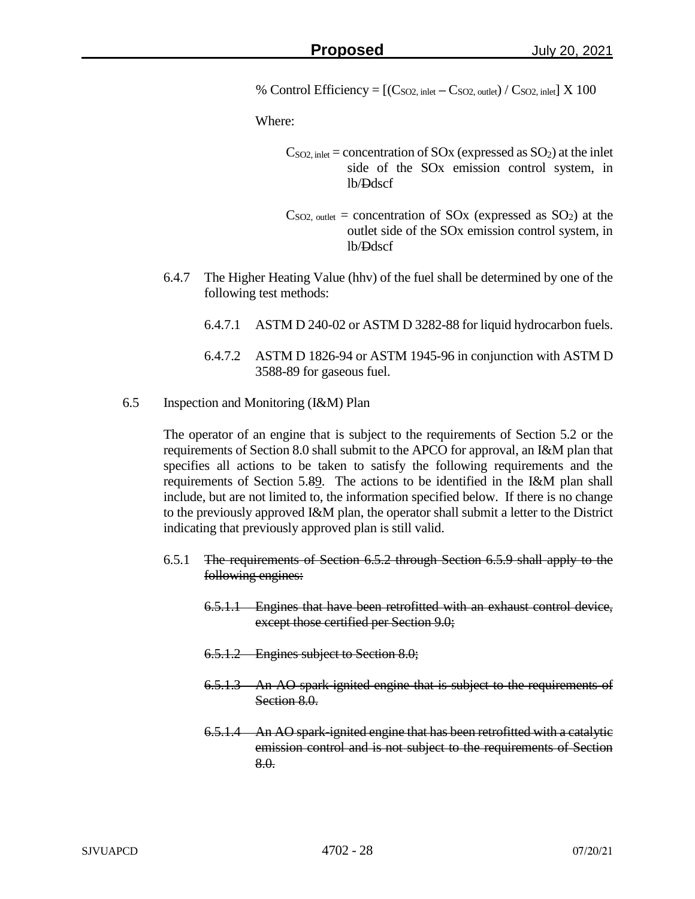% Control Efficiency  $= [(C_{SO2, \text{ inlet}} - C_{SO2, \text{ outlet}}) / C_{SO2, \text{ inlet}}] \times 100$ 

Where:

- $C<sub>SO2</sub>$ , inlet = concentration of SOx (expressed as SO<sub>2</sub>) at the inlet side of the SOx emission control system, in lb/Ddscf
- $C<sub>SO2</sub>$ , outlet = concentration of SOx (expressed as SO<sub>2</sub>) at the outlet side of the SOx emission control system, in lb/Ddscf
- 6.4.7 The Higher Heating Value (hhv) of the fuel shall be determined by one of the following test methods:
	- 6.4.7.1 ASTM D 240-02 or ASTM D 3282-88 for liquid hydrocarbon fuels.
	- 6.4.7.2 ASTM D 1826-94 or ASTM 1945-96 in conjunction with ASTM D 3588-89 for gaseous fuel.
- 6.5 Inspection and Monitoring (I&M) Plan

The operator of an engine that is subject to the requirements of Section 5.2 or the requirements of Section 8.0 shall submit to the APCO for approval, an I&M plan that specifies all actions to be taken to satisfy the following requirements and the requirements of Section 5.89. The actions to be identified in the I&M plan shall include, but are not limited to, the information specified below. If there is no change to the previously approved I&M plan, the operator shall submit a letter to the District indicating that previously approved plan is still valid.

- 6.5.1 The requirements of Section 6.5.2 through Section 6.5.9 shall apply to the following engines:
	- 6.5.1.1 Engines that have been retrofitted with an exhaust control device, except those certified per Section 9.0;
	- 6.5.1.2 Engines subject to Section 8.0;
	- 6.5.1.3 An AO spark-ignited engine that is subject to the requirements of Section 8.0.
	- 6.5.1.4 An AO spark-ignited engine that has been retrofitted with a catalytic emission control and is not subject to the requirements of Section 8.0.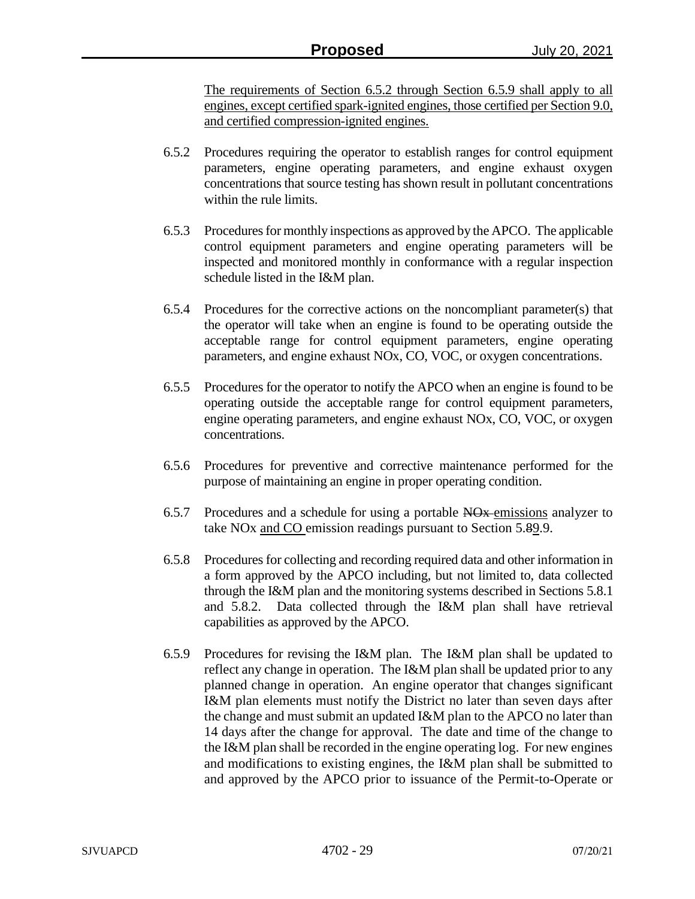The requirements of Section 6.5.2 through Section 6.5.9 shall apply to all engines, except certified spark-ignited engines, those certified per Section 9.0, and certified compression-ignited engines.

- 6.5.2 Procedures requiring the operator to establish ranges for control equipment parameters, engine operating parameters, and engine exhaust oxygen concentrations that source testing has shown result in pollutant concentrations within the rule limits.
- 6.5.3 Procedures for monthly inspections as approved by the APCO. The applicable control equipment parameters and engine operating parameters will be inspected and monitored monthly in conformance with a regular inspection schedule listed in the I&M plan.
- 6.5.4 Procedures for the corrective actions on the noncompliant parameter(s) that the operator will take when an engine is found to be operating outside the acceptable range for control equipment parameters, engine operating parameters, and engine exhaust NOx, CO, VOC, or oxygen concentrations.
- 6.5.5 Procedures for the operator to notify the APCO when an engine is found to be operating outside the acceptable range for control equipment parameters, engine operating parameters, and engine exhaust NOx, CO, VOC, or oxygen concentrations.
- 6.5.6 Procedures for preventive and corrective maintenance performed for the purpose of maintaining an engine in proper operating condition.
- 6.5.7 Procedures and a schedule for using a portable NO<sub>x</sub> emissions analyzer to take NOx and CO emission readings pursuant to Section 5.89.9.
- 6.5.8 Procedures for collecting and recording required data and other information in a form approved by the APCO including, but not limited to, data collected through the I&M plan and the monitoring systems described in Sections 5.8.1 and 5.8.2. Data collected through the I&M plan shall have retrieval capabilities as approved by the APCO.
- 6.5.9 Procedures for revising the I&M plan. The I&M plan shall be updated to reflect any change in operation. The I&M plan shall be updated prior to any planned change in operation. An engine operator that changes significant I&M plan elements must notify the District no later than seven days after the change and must submit an updated I&M plan to the APCO no later than 14 days after the change for approval. The date and time of the change to the I&M plan shall be recorded in the engine operating log. For new engines and modifications to existing engines, the I&M plan shall be submitted to and approved by the APCO prior to issuance of the Permit-to-Operate or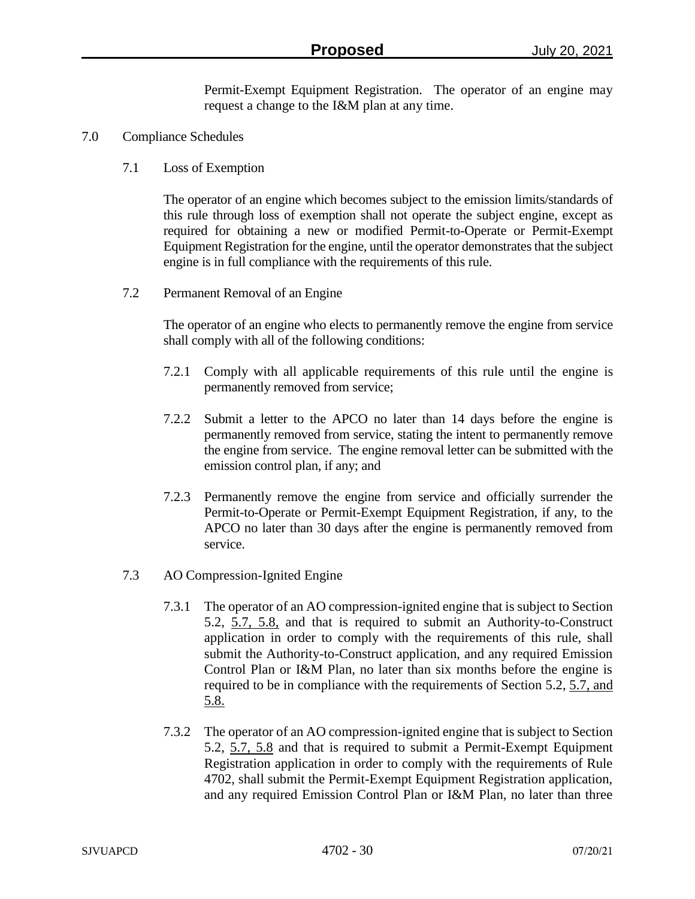Permit-Exempt Equipment Registration. The operator of an engine may request a change to the I&M plan at any time.

- 7.0 Compliance Schedules
	- 7.1 Loss of Exemption

The operator of an engine which becomes subject to the emission limits/standards of this rule through loss of exemption shall not operate the subject engine, except as required for obtaining a new or modified Permit-to-Operate or Permit-Exempt Equipment Registration for the engine, until the operator demonstrates that the subject engine is in full compliance with the requirements of this rule.

7.2 Permanent Removal of an Engine

The operator of an engine who elects to permanently remove the engine from service shall comply with all of the following conditions:

- 7.2.1 Comply with all applicable requirements of this rule until the engine is permanently removed from service;
- 7.2.2 Submit a letter to the APCO no later than 14 days before the engine is permanently removed from service, stating the intent to permanently remove the engine from service. The engine removal letter can be submitted with the emission control plan, if any; and
- 7.2.3 Permanently remove the engine from service and officially surrender the Permit-to-Operate or Permit-Exempt Equipment Registration, if any, to the APCO no later than 30 days after the engine is permanently removed from service.
- 7.3 AO Compression-Ignited Engine
	- 7.3.1 The operator of an AO compression-ignited engine that is subject to Section 5.2, 5.7, 5.8, and that is required to submit an Authority-to-Construct application in order to comply with the requirements of this rule, shall submit the Authority-to-Construct application, and any required Emission Control Plan or I&M Plan, no later than six months before the engine is required to be in compliance with the requirements of Section 5.2, 5.7, and 5.8.
	- 7.3.2 The operator of an AO compression-ignited engine that is subject to Section 5.2, 5.7, 5.8 and that is required to submit a Permit-Exempt Equipment Registration application in order to comply with the requirements of Rule 4702, shall submit the Permit-Exempt Equipment Registration application, and any required Emission Control Plan or I&M Plan, no later than three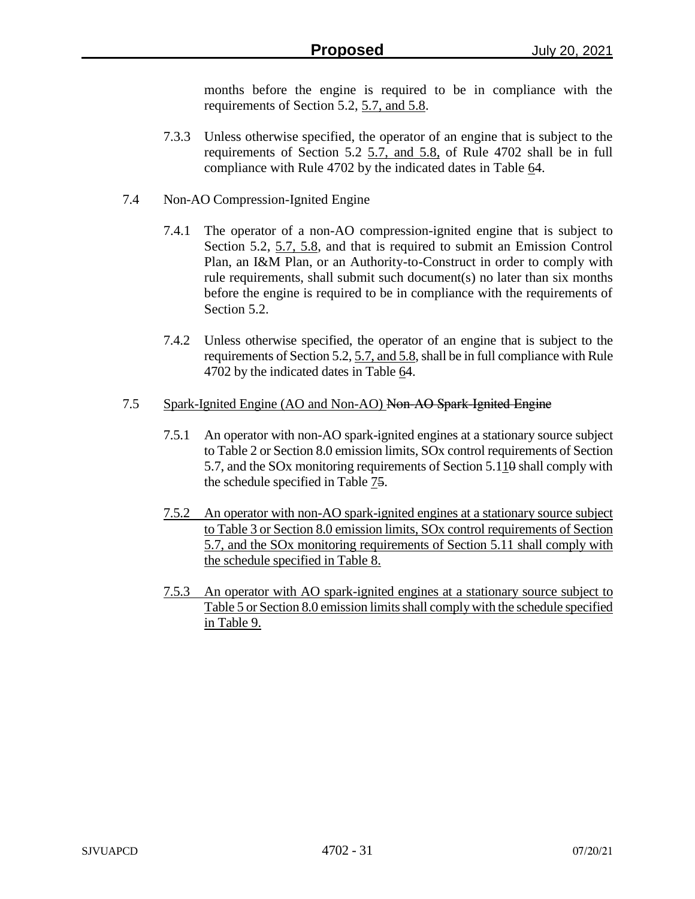months before the engine is required to be in compliance with the requirements of Section 5.2, 5.7, and 5.8.

- 7.3.3 Unless otherwise specified, the operator of an engine that is subject to the requirements of Section 5.2 5.7, and 5.8, of Rule 4702 shall be in full compliance with Rule 4702 by the indicated dates in Table 64.
- 7.4 Non-AO Compression-Ignited Engine
	- 7.4.1 The operator of a non-AO compression-ignited engine that is subject to Section 5.2, 5.7, 5.8, and that is required to submit an Emission Control Plan, an I&M Plan, or an Authority-to-Construct in order to comply with rule requirements, shall submit such document(s) no later than six months before the engine is required to be in compliance with the requirements of Section 5.2.
	- 7.4.2 Unless otherwise specified, the operator of an engine that is subject to the requirements of Section 5.2, 5.7, and 5.8, shall be in full compliance with Rule 4702 by the indicated dates in Table 64.

## 7.5 Spark-Ignited Engine (AO and Non-AO) Non-AO Spark-Ignited Engine

- 7.5.1 An operator with non-AO spark-ignited engines at a stationary source subject to Table 2 or Section 8.0 emission limits, SOx control requirements of Section 5.7, and the SOx monitoring requirements of Section 5.110 shall comply with the schedule specified in Table 75.
- 7.5.2 An operator with non-AO spark-ignited engines at a stationary source subject to Table 3 or Section 8.0 emission limits, SOx control requirements of Section 5.7, and the SOx monitoring requirements of Section 5.11 shall comply with the schedule specified in Table 8.
- 7.5.3 An operator with AO spark-ignited engines at a stationary source subject to Table 5 or Section 8.0 emission limits shall comply with the schedule specified in Table 9.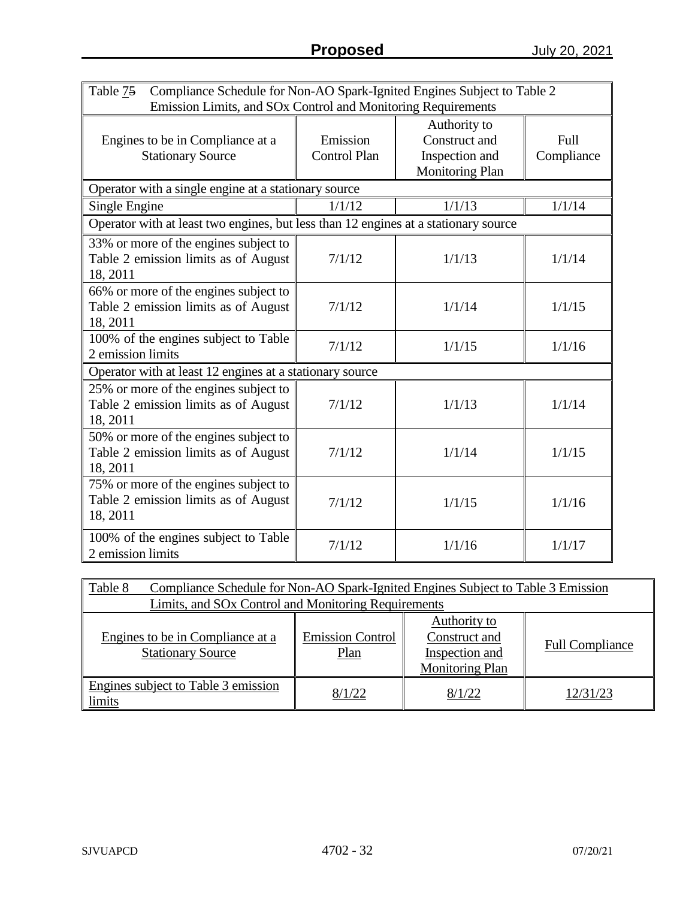| Table 75<br>Compliance Schedule for Non-AO Spark-Ignited Engines Subject to Table 2<br>Emission Limits, and SOx Control and Monitoring Requirements |                                 |                                                                           |                    |  |  |
|-----------------------------------------------------------------------------------------------------------------------------------------------------|---------------------------------|---------------------------------------------------------------------------|--------------------|--|--|
| Engines to be in Compliance at a<br><b>Stationary Source</b>                                                                                        | Emission<br><b>Control Plan</b> | Authority to<br>Construct and<br>Inspection and<br><b>Monitoring Plan</b> | Full<br>Compliance |  |  |
| Operator with a single engine at a stationary source                                                                                                |                                 |                                                                           |                    |  |  |
| Single Engine                                                                                                                                       | 1/1/12                          | 1/1/13                                                                    | 1/1/14             |  |  |
| Operator with at least two engines, but less than 12 engines at a stationary source                                                                 |                                 |                                                                           |                    |  |  |
| 33% or more of the engines subject to<br>Table 2 emission limits as of August<br>18, 2011                                                           | 7/1/12                          | 1/1/13                                                                    | 1/1/14             |  |  |
| 66% or more of the engines subject to<br>Table 2 emission limits as of August<br>18, 2011                                                           | 7/1/12                          | 1/1/14                                                                    | 1/1/15             |  |  |
| 100% of the engines subject to Table<br>2 emission limits                                                                                           | 7/1/12                          | 1/1/15                                                                    | 1/1/16             |  |  |
| Operator with at least 12 engines at a stationary source                                                                                            |                                 |                                                                           |                    |  |  |
| 25% or more of the engines subject to<br>Table 2 emission limits as of August<br>18, 2011                                                           | 7/1/12                          | 1/1/13                                                                    | 1/1/14             |  |  |
| 50% or more of the engines subject to<br>Table 2 emission limits as of August<br>18, 2011                                                           | 7/1/12                          | 1/1/14                                                                    | 1/1/15             |  |  |
| 75% or more of the engines subject to<br>Table 2 emission limits as of August<br>18, 2011                                                           | 7/1/12                          | 1/1/15                                                                    | 1/1/16             |  |  |
| 100% of the engines subject to Table<br>2 emission limits                                                                                           | 7/1/12                          | 1/1/16                                                                    | 1/1/17             |  |  |

| Table 8<br>Compliance Schedule for Non-AO Spark-Ignited Engines Subject to Table 3 Emission<br>Limits, and SO <sub>x</sub> Control and Monitoring Requirements                                                |        |        |          |  |
|---------------------------------------------------------------------------------------------------------------------------------------------------------------------------------------------------------------|--------|--------|----------|--|
| Authority to<br><b>Emission Control</b><br>Construct and<br>Engines to be in Compliance at a<br><b>Full Compliance</b><br><b>Stationary Source</b><br><b>Inspection and</b><br>Plan<br><b>Monitoring Plan</b> |        |        |          |  |
| Engines subject to Table 3 emission<br>limits                                                                                                                                                                 | 8/1/22 | 8/1/22 | 12/31/23 |  |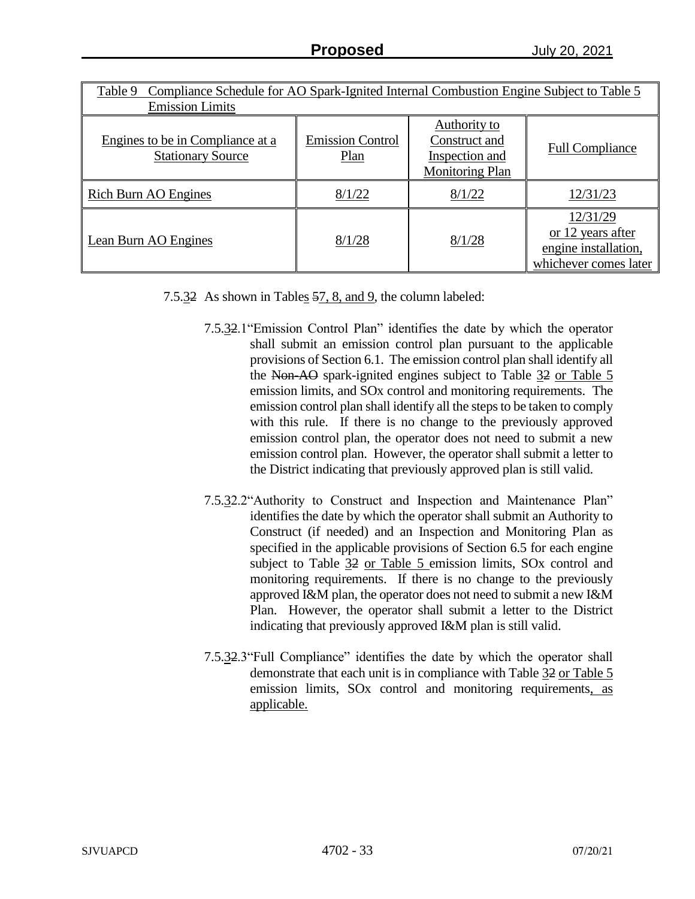| Compliance Schedule for AO Spark-Ignited Internal Combustion Engine Subject to Table 5<br>Table 9<br><b>Emission Limits</b> |                                 |                                                                           |                                                                                |  |
|-----------------------------------------------------------------------------------------------------------------------------|---------------------------------|---------------------------------------------------------------------------|--------------------------------------------------------------------------------|--|
| Engines to be in Compliance at a<br><b>Stationary Source</b>                                                                | <b>Emission Control</b><br>Plan | Authority to<br>Construct and<br>Inspection and<br><b>Monitoring Plan</b> | <b>Full Compliance</b>                                                         |  |
| Rich Burn AO Engines                                                                                                        | 8/1/22                          | 8/1/22                                                                    | 12/31/23                                                                       |  |
| Lean Burn AO Engines                                                                                                        | 8/1/28                          | 8/1/28                                                                    | 12/31/29<br>or 12 years after<br>engine installation,<br>whichever comes later |  |

7.5.32 As shown in Tables 57, 8, and 9, the column labeled:

- 7.5.32.1"Emission Control Plan" identifies the date by which the operator shall submit an emission control plan pursuant to the applicable provisions of Section 6.1. The emission control plan shall identify all the Non-AO spark-ignited engines subject to Table 32 or Table 5 emission limits, and SOx control and monitoring requirements. The emission control plan shall identify all the steps to be taken to comply with this rule. If there is no change to the previously approved emission control plan, the operator does not need to submit a new emission control plan. However, the operator shall submit a letter to the District indicating that previously approved plan is still valid.
- 7.5.32.2"Authority to Construct and Inspection and Maintenance Plan" identifies the date by which the operator shall submit an Authority to Construct (if needed) and an Inspection and Monitoring Plan as specified in the applicable provisions of Section 6.5 for each engine subject to Table 32 or Table 5 emission limits, SO<sub>x</sub> control and monitoring requirements. If there is no change to the previously approved I&M plan, the operator does not need to submit a new I&M Plan. However, the operator shall submit a letter to the District indicating that previously approved I&M plan is still valid.
- 7.5.32.3"Full Compliance" identifies the date by which the operator shall demonstrate that each unit is in compliance with Table 32 or Table 5 emission limits, SOx control and monitoring requirements, as applicable.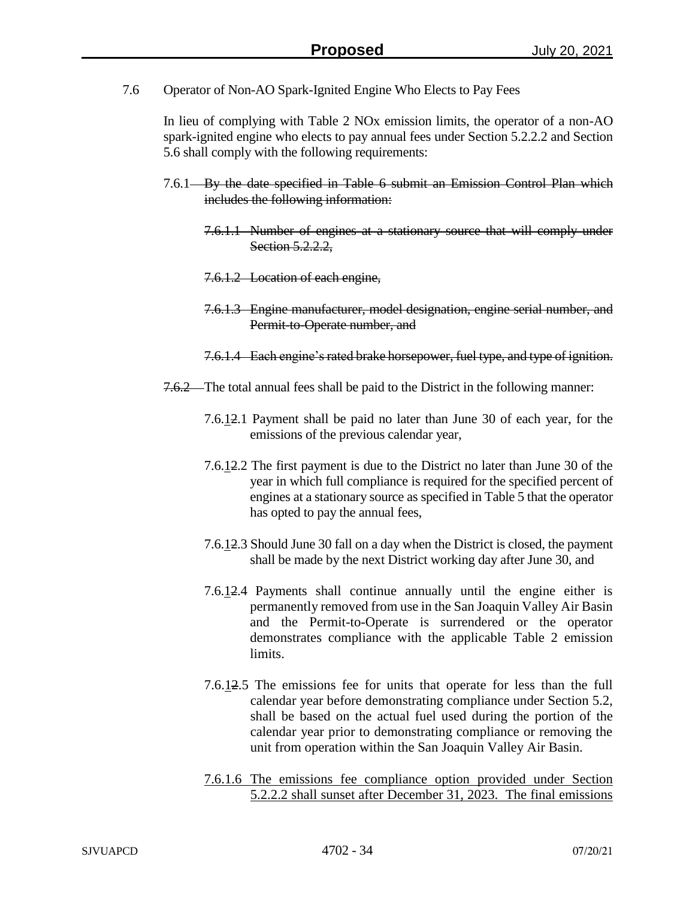7.6 Operator of Non-AO Spark-Ignited Engine Who Elects to Pay Fees

In lieu of complying with Table 2 NOx emission limits, the operator of a non-AO spark-ignited engine who elects to pay annual fees under Section 5.2.2.2 and Section 5.6 shall comply with the following requirements:

- 7.6.1— By the date specified in Table 6 submit an Emission Control Plan which includes the following information:
	- 7.6.1.1 Number of engines at a stationary source that will comply under Section 5.2.2.2.
	- 7.6.1.2 Location of each engine,
	- 7.6.1.3 Engine manufacturer, model designation, engine serial number, and Permit-to-Operate number, and
	- 7.6.1.4 Each engine's rated brake horsepower, fuel type, and type of ignition.
- 7.6.2 The total annual fees shall be paid to the District in the following manner:
	- 7.6.12.1 Payment shall be paid no later than June 30 of each year, for the emissions of the previous calendar year,
	- 7.6.12.2 The first payment is due to the District no later than June 30 of the year in which full compliance is required for the specified percent of engines at a stationary source as specified in Table 5 that the operator has opted to pay the annual fees,
	- 7.6.12.3 Should June 30 fall on a day when the District is closed, the payment shall be made by the next District working day after June 30, and
	- 7.6.12.4 Payments shall continue annually until the engine either is permanently removed from use in the San Joaquin Valley Air Basin and the Permit-to-Operate is surrendered or the operator demonstrates compliance with the applicable Table 2 emission limits.
	- 7.6.12.5 The emissions fee for units that operate for less than the full calendar year before demonstrating compliance under Section 5.2, shall be based on the actual fuel used during the portion of the calendar year prior to demonstrating compliance or removing the unit from operation within the San Joaquin Valley Air Basin.
	- 7.6.1.6 The emissions fee compliance option provided under Section 5.2.2.2 shall sunset after December 31, 2023. The final emissions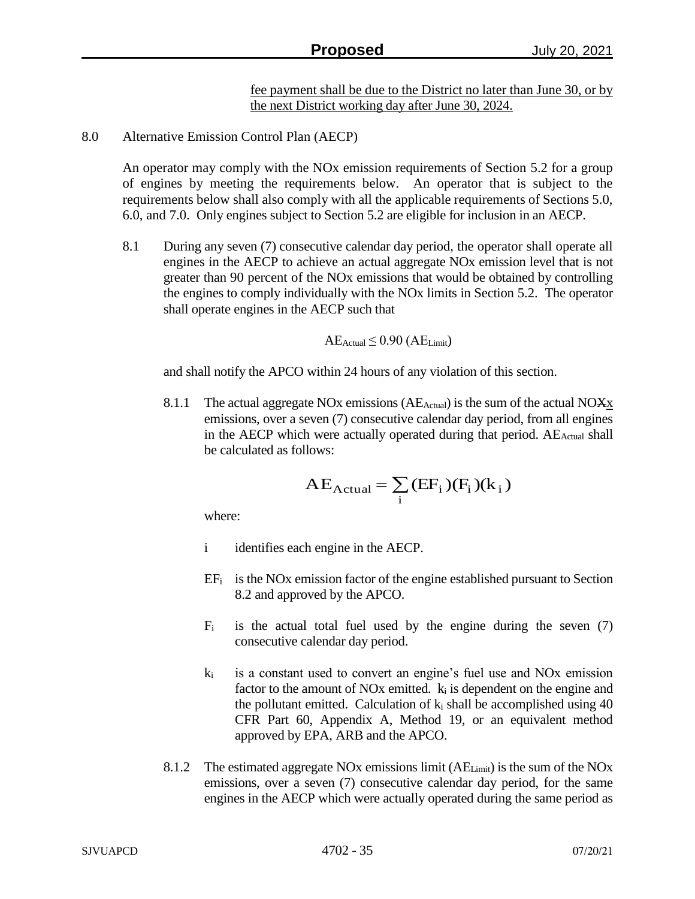fee payment shall be due to the District no later than June 30, or by the next District working day after June 30, 2024.

8.0 Alternative Emission Control Plan (AECP)

An operator may comply with the NOx emission requirements of Section 5.2 for a group of engines by meeting the requirements below. An operator that is subject to the requirements below shall also comply with all the applicable requirements of Sections 5.0, 6.0, and 7.0. Only engines subject to Section 5.2 are eligible for inclusion in an AECP.

8.1 During any seven (7) consecutive calendar day period, the operator shall operate all engines in the AECP to achieve an actual aggregate NOx emission level that is not greater than 90 percent of the NOx emissions that would be obtained by controlling the engines to comply individually with the NOx limits in Section 5.2. The operator shall operate engines in the AECP such that

$$
AE_{Actual} \leq 0.90 (AE_{Limit})
$$

and shall notify the APCO within 24 hours of any violation of this section.

8.1.1 The actual aggregate NOx emissions ( $AE<sub>Actual</sub>$ ) is the sum of the actual NOXx emissions, over a seven (7) consecutive calendar day period, from all engines in the AECP which were actually operated during that period. AE<sub>Actual</sub> shall be calculated as follows:

$$
AE_{Actual} = \sum_{i} (EF_{i}) (F_{i}) (k_{i})
$$

where:

- i identifies each engine in the AECP.
- $EF_i$  is the NOx emission factor of the engine established pursuant to Section 8.2 and approved by the APCO.
- $F_i$  is the actual total fuel used by the engine during the seven (7) consecutive calendar day period.
- $k_i$  is a constant used to convert an engine's fuel use and NOx emission factor to the amount of NOx emitted.  $k_i$  is dependent on the engine and the pollutant emitted. Calculation of  $k_i$  shall be accomplished using 40 CFR Part 60, Appendix A, Method 19, or an equivalent method approved by EPA, ARB and the APCO.
- 8.1.2 The estimated aggregate NOx emissions limit (AE<sub>Limit</sub>) is the sum of the NOx emissions, over a seven (7) consecutive calendar day period, for the same engines in the AECP which were actually operated during the same period as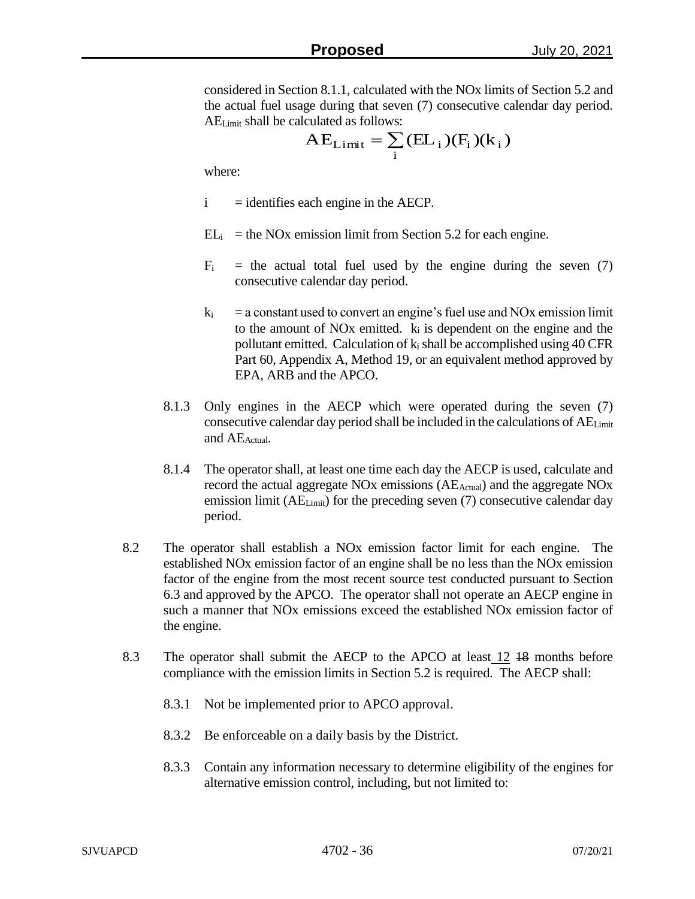considered in Section 8.1.1, calculated with the NOx limits of Section 5.2 and the actual fuel usage during that seven (7) consecutive calendar day period. AELimit shall be calculated as follows:

$$
AE_{Limit} = \sum_{i} (EL_{i})(F_{i})(k_{i})
$$

where:

- $i =$  identifies each engine in the AECP.
- $EL_i$  = the NOx emission limit from Section 5.2 for each engine.
- $F_i$  = the actual total fuel used by the engine during the seven (7) consecutive calendar day period.
- $k_i$  = a constant used to convert an engine's fuel use and NOx emission limit to the amount of NOx emitted. k<sup>i</sup> is dependent on the engine and the pollutant emitted. Calculation of  $k_i$  shall be accomplished using 40 CFR Part 60, Appendix A, Method 19, or an equivalent method approved by EPA, ARB and the APCO.
- 8.1.3 Only engines in the AECP which were operated during the seven (7) consecutive calendar day period shall be included in the calculations of AELimit and AEActual.
- 8.1.4 The operator shall, at least one time each day the AECP is used, calculate and record the actual aggregate NO<sub>x</sub> emissions ( $AE_{\text{Actual}}$ ) and the aggregate NO<sub>x</sub> emission limit ( $AE$ <sub>Limit</sub>) for the preceding seven (7) consecutive calendar day period.
- 8.2 The operator shall establish a NOx emission factor limit for each engine. The established NOx emission factor of an engine shall be no less than the NOx emission factor of the engine from the most recent source test conducted pursuant to Section 6.3 and approved by the APCO. The operator shall not operate an AECP engine in such a manner that NOx emissions exceed the established NOx emission factor of the engine.
- 8.3 The operator shall submit the AECP to the APCO at least 12 18 months before compliance with the emission limits in Section 5.2 is required. The AECP shall:
	- 8.3.1 Not be implemented prior to APCO approval.
	- 8.3.2 Be enforceable on a daily basis by the District.
	- 8.3.3 Contain any information necessary to determine eligibility of the engines for alternative emission control, including, but not limited to: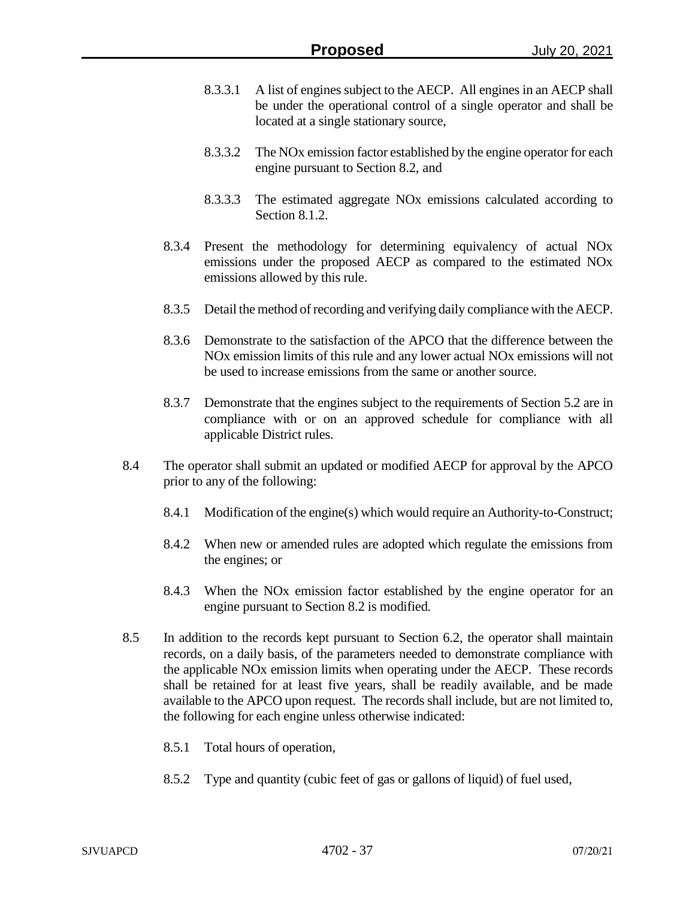- 8.3.3.1 A list of engines subject to the AECP. All engines in an AECP shall be under the operational control of a single operator and shall be located at a single stationary source,
- 8.3.3.2 The NOx emission factor established by the engine operator for each engine pursuant to Section 8.2, and
- 8.3.3.3 The estimated aggregate NOx emissions calculated according to Section 8.1.2.
- 8.3.4 Present the methodology for determining equivalency of actual NOx emissions under the proposed AECP as compared to the estimated NOx emissions allowed by this rule.
- 8.3.5 Detail the method of recording and verifying daily compliance with the AECP.
- 8.3.6 Demonstrate to the satisfaction of the APCO that the difference between the NOx emission limits of this rule and any lower actual NOx emissions will not be used to increase emissions from the same or another source.
- 8.3.7 Demonstrate that the engines subject to the requirements of Section 5.2 are in compliance with or on an approved schedule for compliance with all applicable District rules.
- 8.4 The operator shall submit an updated or modified AECP for approval by the APCO prior to any of the following:
	- 8.4.1 Modification of the engine(s) which would require an Authority-to-Construct;
	- 8.4.2 When new or amended rules are adopted which regulate the emissions from the engines; or
	- 8.4.3 When the NOx emission factor established by the engine operator for an engine pursuant to Section 8.2 is modified.
- 8.5 In addition to the records kept pursuant to Section 6.2, the operator shall maintain records, on a daily basis, of the parameters needed to demonstrate compliance with the applicable NOx emission limits when operating under the AECP. These records shall be retained for at least five years, shall be readily available, and be made available to the APCO upon request. The records shall include, but are not limited to, the following for each engine unless otherwise indicated:
	- 8.5.1 Total hours of operation,
	- 8.5.2 Type and quantity (cubic feet of gas or gallons of liquid) of fuel used,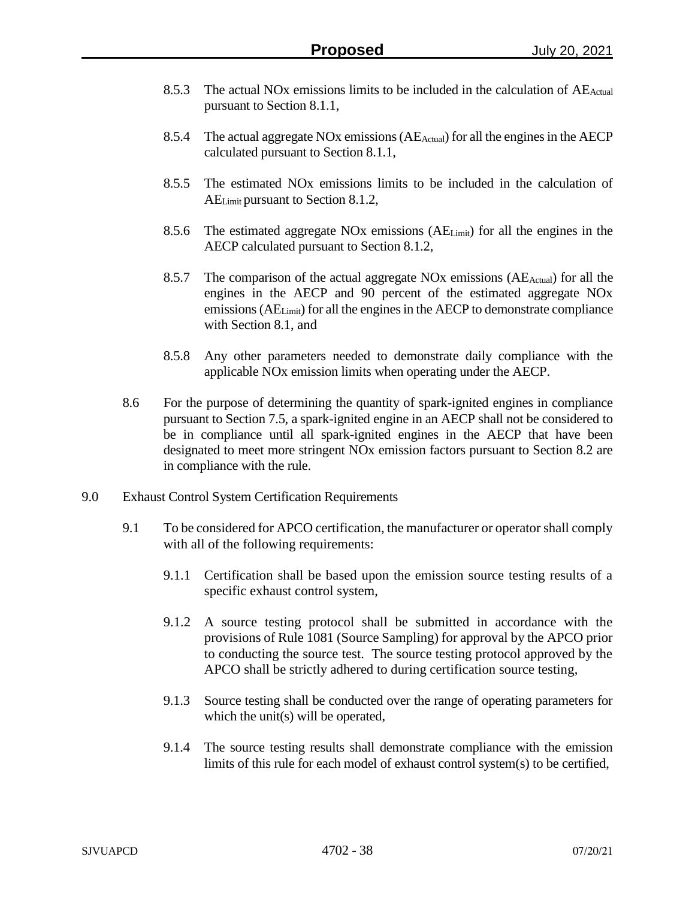- 8.5.3 The actual NOx emissions limits to be included in the calculation of  $AE_{Actual}$ pursuant to Section 8.1.1,
- 8.5.4 The actual aggregate NOx emissions (AEActual) for all the engines in the AECP calculated pursuant to Section 8.1.1,
- 8.5.5 The estimated NOx emissions limits to be included in the calculation of AELimit pursuant to Section 8.1.2,
- 8.5.6 The estimated aggregate NOx emissions (AELimit) for all the engines in the AECP calculated pursuant to Section 8.1.2,
- 8.5.7 The comparison of the actual aggregate NO<sub>x</sub> emissions ( $AE_{Actual}$ ) for all the engines in the AECP and 90 percent of the estimated aggregate NOx emissions (AELimit) for all the engines in the AECP to demonstrate compliance with Section 8.1, and
- 8.5.8 Any other parameters needed to demonstrate daily compliance with the applicable NOx emission limits when operating under the AECP.
- 8.6 For the purpose of determining the quantity of spark-ignited engines in compliance pursuant to Section 7.5, a spark-ignited engine in an AECP shall not be considered to be in compliance until all spark-ignited engines in the AECP that have been designated to meet more stringent NOx emission factors pursuant to Section 8.2 are in compliance with the rule.
- 9.0 Exhaust Control System Certification Requirements
	- 9.1 To be considered for APCO certification, the manufacturer or operator shall comply with all of the following requirements:
		- 9.1.1 Certification shall be based upon the emission source testing results of a specific exhaust control system,
		- 9.1.2 A source testing protocol shall be submitted in accordance with the provisions of Rule 1081 (Source Sampling) for approval by the APCO prior to conducting the source test. The source testing protocol approved by the APCO shall be strictly adhered to during certification source testing,
		- 9.1.3 Source testing shall be conducted over the range of operating parameters for which the unit(s) will be operated,
		- 9.1.4 The source testing results shall demonstrate compliance with the emission limits of this rule for each model of exhaust control system(s) to be certified,